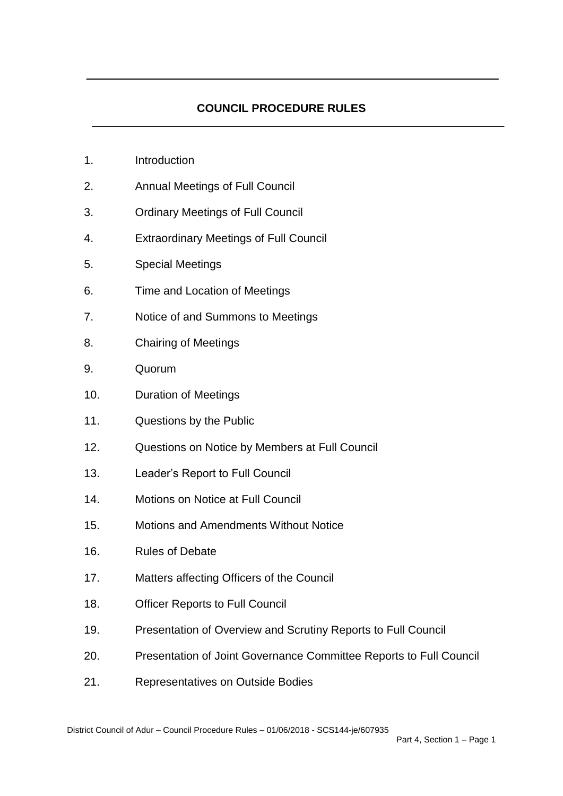# **COUNCIL PROCEDURE RULES**

- 1. Introduction
- 2. Annual Meetings of Full Council
- 3. Ordinary Meetings of Full Council
- 4. Extraordinary Meetings of Full Council
- 5. Special Meetings
- 6. Time and Location of Meetings
- 7. Notice of and Summons to Meetings
- 8. Chairing of Meetings
- 9. Quorum
- 10. Duration of Meetings
- 11. Questions by the Public
- 12. Questions on Notice by Members at Full Council
- 13. Leader's Report to Full Council
- 14. Motions on Notice at Full Council
- 15. Motions and Amendments Without Notice
- 16. Rules of Debate
- 17. Matters affecting Officers of the Council
- 18. Officer Reports to Full Council
- 19. Presentation of Overview and Scrutiny Reports to Full Council
- 20. Presentation of Joint Governance Committee Reports to Full Council
- 21. Representatives on Outside Bodies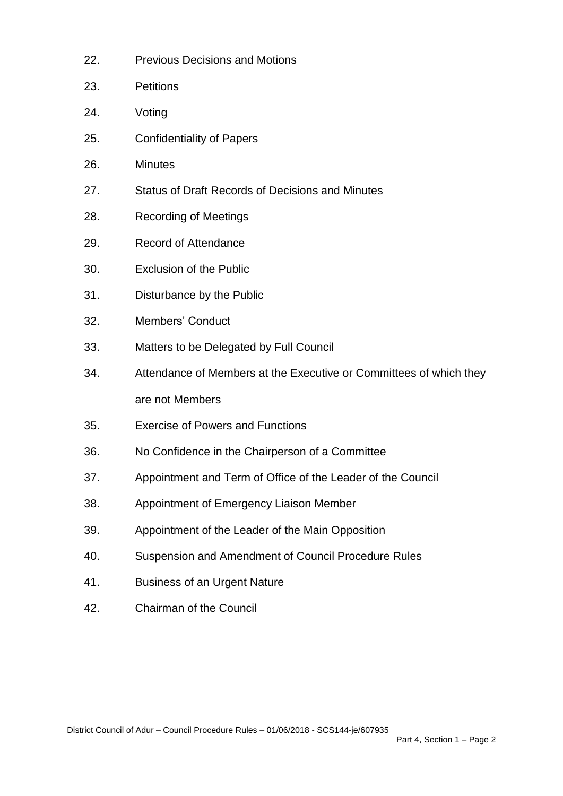| 22. | <b>Previous Decisions and Motions</b>                              |
|-----|--------------------------------------------------------------------|
| 23. | <b>Petitions</b>                                                   |
| 24. | Voting                                                             |
| 25. | <b>Confidentiality of Papers</b>                                   |
| 26. | <b>Minutes</b>                                                     |
| 27. | <b>Status of Draft Records of Decisions and Minutes</b>            |
| 28. | <b>Recording of Meetings</b>                                       |
| 29. | <b>Record of Attendance</b>                                        |
| 30. | <b>Exclusion of the Public</b>                                     |
| 31. | Disturbance by the Public                                          |
| 32. | <b>Members' Conduct</b>                                            |
| 33. | Matters to be Delegated by Full Council                            |
| 34. | Attendance of Members at the Executive or Committees of which they |
|     | are not Members                                                    |
| 35. | <b>Exercise of Powers and Functions</b>                            |
| 36. | No Confidence in the Chairperson of a Committee                    |
| 37. | Appointment and Term of Office of the Leader of the Council        |
| 38. | Appointment of Emergency Liaison Member                            |
| 39. | Appointment of the Leader of the Main Opposition                   |
| 40. | Suspension and Amendment of Council Procedure Rules                |
| 41. | <b>Business of an Urgent Nature</b>                                |
| 42. | <b>Chairman of the Council</b>                                     |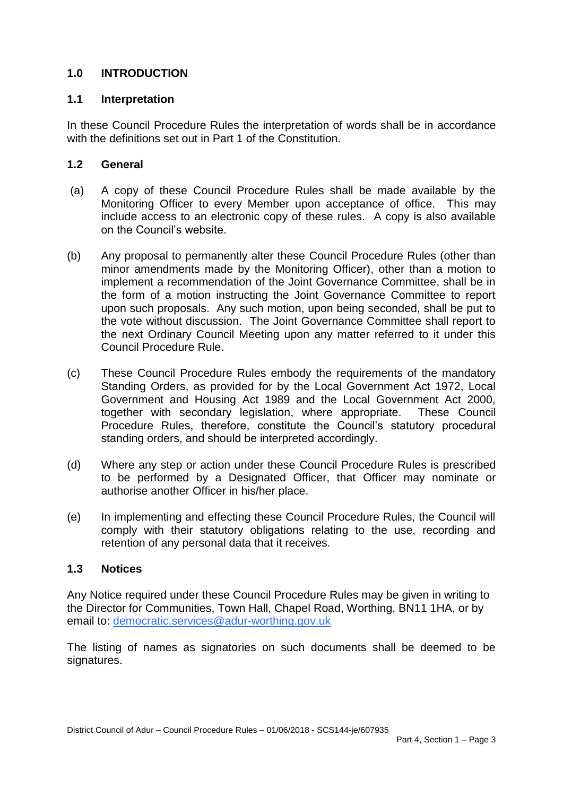# **1.0 INTRODUCTION**

### **1.1 Interpretation**

In these Council Procedure Rules the interpretation of words shall be in accordance with the definitions set out in Part 1 of the Constitution.

## **1.2 General**

- (a) A copy of these Council Procedure Rules shall be made available by the Monitoring Officer to every Member upon acceptance of office. This may include access to an electronic copy of these rules. A copy is also available on the Council's website.
- (b) Any proposal to permanently alter these Council Procedure Rules (other than minor amendments made by the Monitoring Officer), other than a motion to implement a recommendation of the Joint Governance Committee, shall be in the form of a motion instructing the Joint Governance Committee to report upon such proposals. Any such motion, upon being seconded, shall be put to the vote without discussion. The Joint Governance Committee shall report to the next Ordinary Council Meeting upon any matter referred to it under this Council Procedure Rule.
- (c) These Council Procedure Rules embody the requirements of the mandatory Standing Orders, as provided for by the Local Government Act 1972, Local Government and Housing Act 1989 and the Local Government Act 2000, together with secondary legislation, where appropriate. These Council Procedure Rules, therefore, constitute the Council's statutory procedural standing orders, and should be interpreted accordingly.
- (d) Where any step or action under these Council Procedure Rules is prescribed to be performed by a Designated Officer, that Officer may nominate or authorise another Officer in his/her place.
- (e) In implementing and effecting these Council Procedure Rules, the Council will comply with their statutory obligations relating to the use, recording and retention of any personal data that it receives.

### **1.3 Notices**

Any Notice required under these Council Procedure Rules may be given in writing to the Director for Communities, Town Hall, Chapel Road, Worthing, BN11 1HA, or by email to: [democratic.services@adur-worthing.gov.uk](mailto:democratic.services@adur-worthing.gov.uk)

The listing of names as signatories on such documents shall be deemed to be signatures.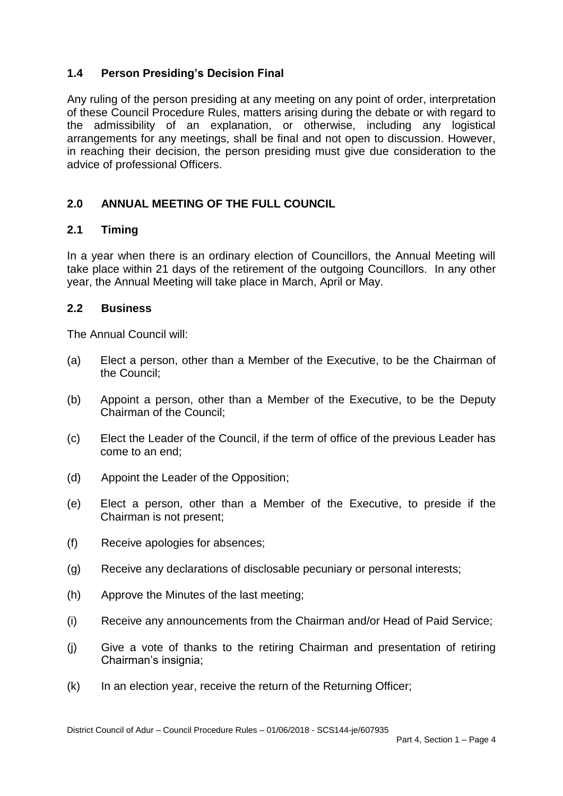# **1.4 Person Presiding's Decision Final**

Any ruling of the person presiding at any meeting on any point of order, interpretation of these Council Procedure Rules, matters arising during the debate or with regard to the admissibility of an explanation, or otherwise, including any logistical arrangements for any meetings, shall be final and not open to discussion. However, in reaching their decision, the person presiding must give due consideration to the advice of professional Officers.

# **2.0 ANNUAL MEETING OF THE FULL COUNCIL**

## **2.1 Timing**

In a year when there is an ordinary election of Councillors, the Annual Meeting will take place within 21 days of the retirement of the outgoing Councillors. In any other year, the Annual Meeting will take place in March, April or May.

## **2.2 Business**

The Annual Council will:

- (a) Elect a person, other than a Member of the Executive, to be the Chairman of the Council;
- (b) Appoint a person, other than a Member of the Executive, to be the Deputy Chairman of the Council;
- (c) Elect the Leader of the Council, if the term of office of the previous Leader has come to an end;
- (d) Appoint the Leader of the Opposition;
- (e) Elect a person, other than a Member of the Executive, to preside if the Chairman is not present;
- (f) Receive apologies for absences;
- (g) Receive any declarations of disclosable pecuniary or personal interests;
- (h) Approve the Minutes of the last meeting;
- (i) Receive any announcements from the Chairman and/or Head of Paid Service;
- (j) Give a vote of thanks to the retiring Chairman and presentation of retiring Chairman's insignia;
- (k) In an election year, receive the return of the Returning Officer;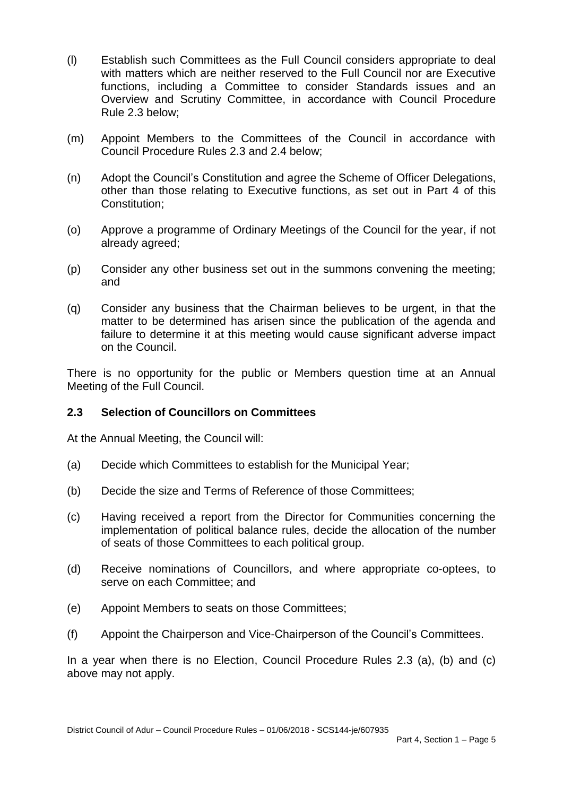- (l) Establish such Committees as the Full Council considers appropriate to deal with matters which are neither reserved to the Full Council nor are Executive functions, including a Committee to consider Standards issues and an Overview and Scrutiny Committee, in accordance with Council Procedure Rule 2.3 below;
- (m) Appoint Members to the Committees of the Council in accordance with Council Procedure Rules 2.3 and 2.4 below;
- (n) Adopt the Council's Constitution and agree the Scheme of Officer Delegations, other than those relating to Executive functions, as set out in Part 4 of this Constitution;
- (o) Approve a programme of Ordinary Meetings of the Council for the year, if not already agreed;
- (p) Consider any other business set out in the summons convening the meeting; and
- (q) Consider any business that the Chairman believes to be urgent, in that the matter to be determined has arisen since the publication of the agenda and failure to determine it at this meeting would cause significant adverse impact on the Council.

There is no opportunity for the public or Members question time at an Annual Meeting of the Full Council.

### **2.3 Selection of Councillors on Committees**

At the Annual Meeting, the Council will:

- (a) Decide which Committees to establish for the Municipal Year;
- (b) Decide the size and Terms of Reference of those Committees;
- (c) Having received a report from the Director for Communities concerning the implementation of political balance rules, decide the allocation of the number of seats of those Committees to each political group.
- (d) Receive nominations of Councillors, and where appropriate co-optees, to serve on each Committee; and
- (e) Appoint Members to seats on those Committees;
- (f) Appoint the Chairperson and Vice-Chairperson of the Council's Committees.

In a year when there is no Election, Council Procedure Rules 2.3 (a), (b) and (c) above may not apply.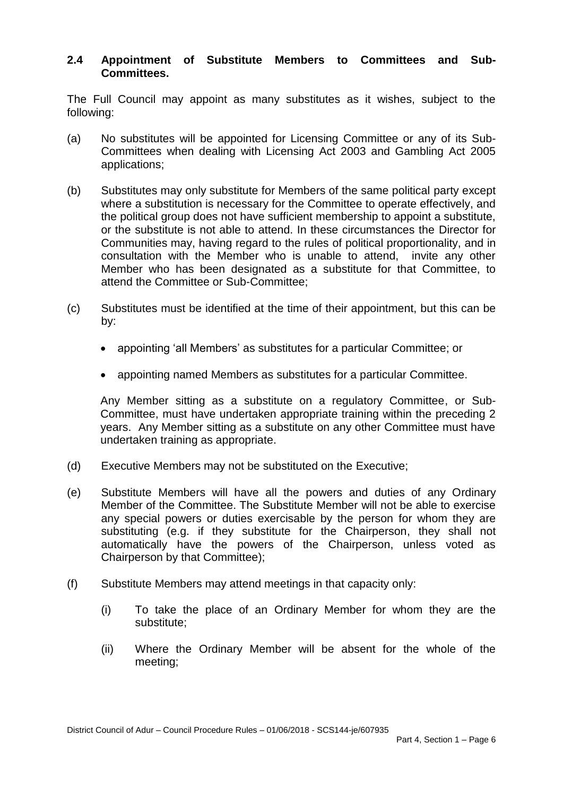### **2.4 Appointment of Substitute Members to Committees and Sub-Committees.**

The Full Council may appoint as many substitutes as it wishes, subject to the following:

- (a) No substitutes will be appointed for Licensing Committee or any of its Sub-Committees when dealing with Licensing Act 2003 and Gambling Act 2005 applications;
- (b) Substitutes may only substitute for Members of the same political party except where a substitution is necessary for the Committee to operate effectively, and the political group does not have sufficient membership to appoint a substitute, or the substitute is not able to attend. In these circumstances the Director for Communities may, having regard to the rules of political proportionality, and in consultation with the Member who is unable to attend, invite any other Member who has been designated as a substitute for that Committee, to attend the Committee or Sub-Committee;
- (c) Substitutes must be identified at the time of their appointment, but this can be by:
	- appointing 'all Members' as substitutes for a particular Committee; or
	- appointing named Members as substitutes for a particular Committee.

Any Member sitting as a substitute on a regulatory Committee, or Sub-Committee, must have undertaken appropriate training within the preceding 2 years. Any Member sitting as a substitute on any other Committee must have undertaken training as appropriate.

- (d) Executive Members may not be substituted on the Executive;
- (e) Substitute Members will have all the powers and duties of any Ordinary Member of the Committee. The Substitute Member will not be able to exercise any special powers or duties exercisable by the person for whom they are substituting (e.g. if they substitute for the Chairperson, they shall not automatically have the powers of the Chairperson, unless voted as Chairperson by that Committee);
- (f) Substitute Members may attend meetings in that capacity only:
	- (i) To take the place of an Ordinary Member for whom they are the substitute;
	- (ii) Where the Ordinary Member will be absent for the whole of the meeting;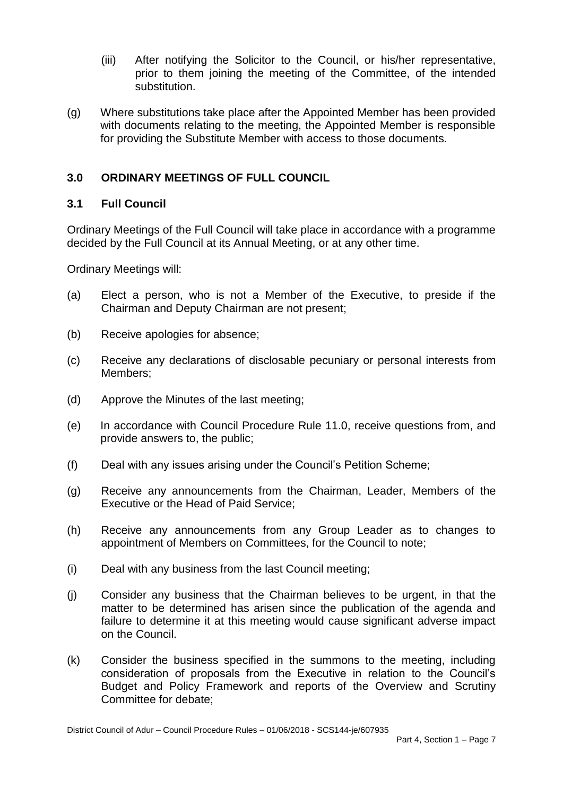- (iii) After notifying the Solicitor to the Council, or his/her representative, prior to them joining the meeting of the Committee, of the intended substitution.
- (g) Where substitutions take place after the Appointed Member has been provided with documents relating to the meeting, the Appointed Member is responsible for providing the Substitute Member with access to those documents.

## **3.0 ORDINARY MEETINGS OF FULL COUNCIL**

### **3.1 Full Council**

Ordinary Meetings of the Full Council will take place in accordance with a programme decided by the Full Council at its Annual Meeting, or at any other time.

Ordinary Meetings will:

- (a) Elect a person, who is not a Member of the Executive, to preside if the Chairman and Deputy Chairman are not present;
- (b) Receive apologies for absence;
- (c) Receive any declarations of disclosable pecuniary or personal interests from Members;
- (d) Approve the Minutes of the last meeting;
- (e) In accordance with Council Procedure Rule 11.0, receive questions from, and provide answers to, the public;
- (f) Deal with any issues arising under the Council's Petition Scheme;
- (g) Receive any announcements from the Chairman, Leader, Members of the Executive or the Head of Paid Service;
- (h) Receive any announcements from any Group Leader as to changes to appointment of Members on Committees, for the Council to note;
- (i) Deal with any business from the last Council meeting;
- (j) Consider any business that the Chairman believes to be urgent, in that the matter to be determined has arisen since the publication of the agenda and failure to determine it at this meeting would cause significant adverse impact on the Council.
- (k) Consider the business specified in the summons to the meeting, including consideration of proposals from the Executive in relation to the Council's Budget and Policy Framework and reports of the Overview and Scrutiny Committee for debate;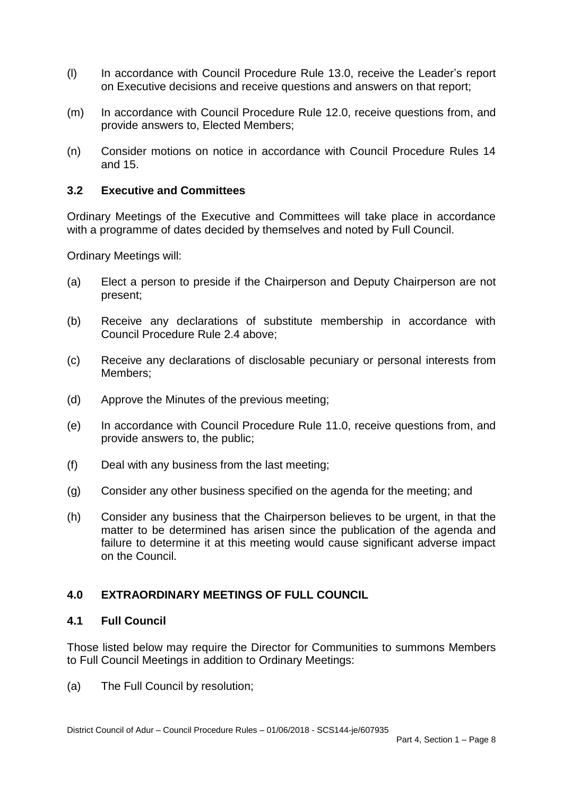- (l) In accordance with Council Procedure Rule 13.0, receive the Leader's report on Executive decisions and receive questions and answers on that report;
- (m) In accordance with Council Procedure Rule 12.0, receive questions from, and provide answers to, Elected Members;
- (n) Consider motions on notice in accordance with Council Procedure Rules 14 and 15.

### **3.2 Executive and Committees**

Ordinary Meetings of the Executive and Committees will take place in accordance with a programme of dates decided by themselves and noted by Full Council.

Ordinary Meetings will:

- (a) Elect a person to preside if the Chairperson and Deputy Chairperson are not present;
- (b) Receive any declarations of substitute membership in accordance with Council Procedure Rule 2.4 above;
- (c) Receive any declarations of disclosable pecuniary or personal interests from Members;
- (d) Approve the Minutes of the previous meeting;
- (e) In accordance with Council Procedure Rule 11.0, receive questions from, and provide answers to, the public;
- (f) Deal with any business from the last meeting;
- (g) Consider any other business specified on the agenda for the meeting; and
- (h) Consider any business that the Chairperson believes to be urgent, in that the matter to be determined has arisen since the publication of the agenda and failure to determine it at this meeting would cause significant adverse impact on the Council.

### **4.0 EXTRAORDINARY MEETINGS OF FULL COUNCIL**

### **4.1 Full Council**

Those listed below may require the Director for Communities to summons Members to Full Council Meetings in addition to Ordinary Meetings:

(a) The Full Council by resolution;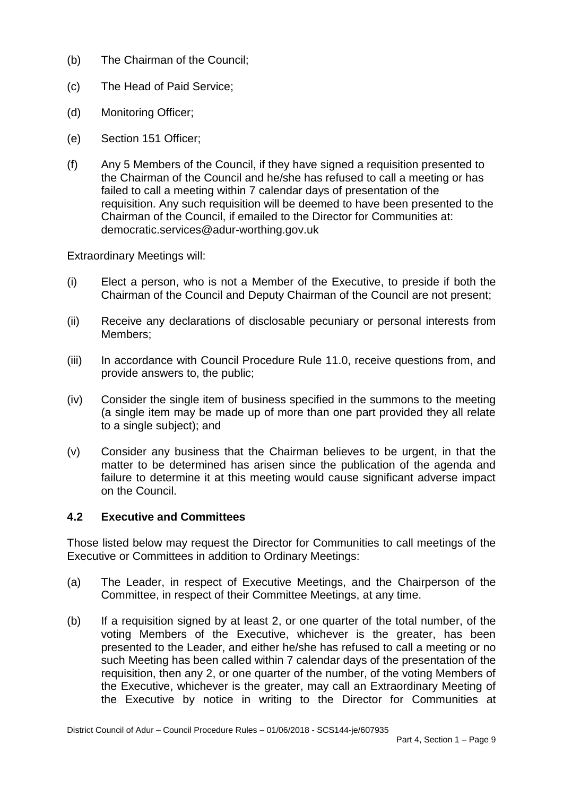- (b) The Chairman of the Council;
- (c) The Head of Paid Service;
- (d) Monitoring Officer;
- (e) Section 151 Officer;
- (f) Any 5 Members of the Council, if they have signed a requisition presented to the Chairman of the Council and he/she has refused to call a meeting or has failed to call a meeting within 7 calendar days of presentation of the requisition. Any such requisition will be deemed to have been presented to the Chairman of the Council, if emailed to the Director for Communities at: democratic.services@adur-worthing.gov.uk

Extraordinary Meetings will:

- (i) Elect a person, who is not a Member of the Executive, to preside if both the Chairman of the Council and Deputy Chairman of the Council are not present;
- (ii) Receive any declarations of disclosable pecuniary or personal interests from Members;
- (iii) In accordance with Council Procedure Rule 11.0, receive questions from, and provide answers to, the public;
- (iv) Consider the single item of business specified in the summons to the meeting (a single item may be made up of more than one part provided they all relate to a single subject); and
- (v) Consider any business that the Chairman believes to be urgent, in that the matter to be determined has arisen since the publication of the agenda and failure to determine it at this meeting would cause significant adverse impact on the Council.

# **4.2 Executive and Committees**

Those listed below may request the Director for Communities to call meetings of the Executive or Committees in addition to Ordinary Meetings:

- (a) The Leader, in respect of Executive Meetings, and the Chairperson of the Committee, in respect of their Committee Meetings, at any time.
- (b) If a requisition signed by at least 2, or one quarter of the total number, of the voting Members of the Executive, whichever is the greater, has been presented to the Leader, and either he/she has refused to call a meeting or no such Meeting has been called within 7 calendar days of the presentation of the requisition, then any 2, or one quarter of the number, of the voting Members of the Executive, whichever is the greater, may call an Extraordinary Meeting of the Executive by notice in writing to the Director for Communities at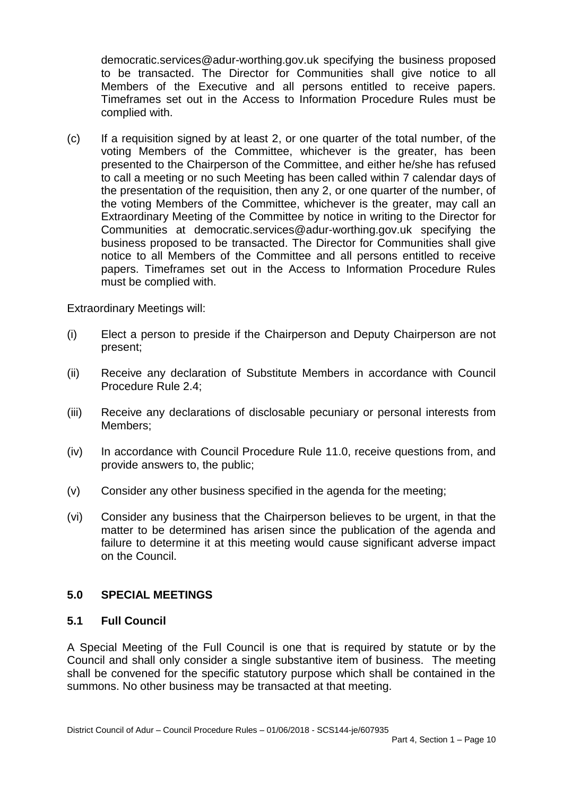democratic.services@adur-worthing.gov.uk specifying the business proposed to be transacted. The Director for Communities shall give notice to all Members of the Executive and all persons entitled to receive papers. Timeframes set out in the Access to Information Procedure Rules must be complied with.

(c) If a requisition signed by at least 2, or one quarter of the total number, of the voting Members of the Committee, whichever is the greater, has been presented to the Chairperson of the Committee, and either he/she has refused to call a meeting or no such Meeting has been called within 7 calendar days of the presentation of the requisition, then any 2, or one quarter of the number, of the voting Members of the Committee, whichever is the greater, may call an Extraordinary Meeting of the Committee by notice in writing to the Director for Communities at democratic.services@adur-worthing.gov.uk specifying the business proposed to be transacted. The Director for Communities shall give notice to all Members of the Committee and all persons entitled to receive papers. Timeframes set out in the Access to Information Procedure Rules must be complied with.

Extraordinary Meetings will:

- (i) Elect a person to preside if the Chairperson and Deputy Chairperson are not present;
- (ii) Receive any declaration of Substitute Members in accordance with Council Procedure Rule 2.4;
- (iii) Receive any declarations of disclosable pecuniary or personal interests from Members;
- (iv) In accordance with Council Procedure Rule 11.0, receive questions from, and provide answers to, the public;
- (v) Consider any other business specified in the agenda for the meeting;
- (vi) Consider any business that the Chairperson believes to be urgent, in that the matter to be determined has arisen since the publication of the agenda and failure to determine it at this meeting would cause significant adverse impact on the Council.

### **5.0 SPECIAL MEETINGS**

#### **5.1 Full Council**

A Special Meeting of the Full Council is one that is required by statute or by the Council and shall only consider a single substantive item of business. The meeting shall be convened for the specific statutory purpose which shall be contained in the summons. No other business may be transacted at that meeting.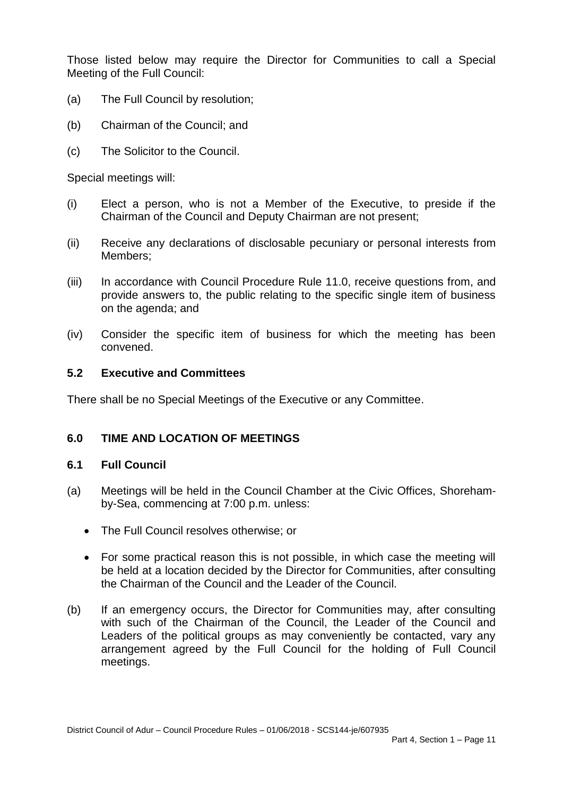Those listed below may require the Director for Communities to call a Special Meeting of the Full Council:

- (a) The Full Council by resolution;
- (b) Chairman of the Council; and
- (c) The Solicitor to the Council.

Special meetings will:

- (i) Elect a person, who is not a Member of the Executive, to preside if the Chairman of the Council and Deputy Chairman are not present;
- (ii) Receive any declarations of disclosable pecuniary or personal interests from Members;
- (iii) In accordance with Council Procedure Rule 11.0, receive questions from, and provide answers to, the public relating to the specific single item of business on the agenda; and
- (iv) Consider the specific item of business for which the meeting has been convened.

### **5.2 Executive and Committees**

There shall be no Special Meetings of the Executive or any Committee.

### **6.0 TIME AND LOCATION OF MEETINGS**

#### **6.1 Full Council**

- (a) Meetings will be held in the Council Chamber at the Civic Offices, Shorehamby-Sea, commencing at 7:00 p.m. unless:
	- The Full Council resolves otherwise; or
	- For some practical reason this is not possible, in which case the meeting will be held at a location decided by the Director for Communities, after consulting the Chairman of the Council and the Leader of the Council.
- (b) If an emergency occurs, the Director for Communities may, after consulting with such of the Chairman of the Council, the Leader of the Council and Leaders of the political groups as may conveniently be contacted, vary any arrangement agreed by the Full Council for the holding of Full Council meetings.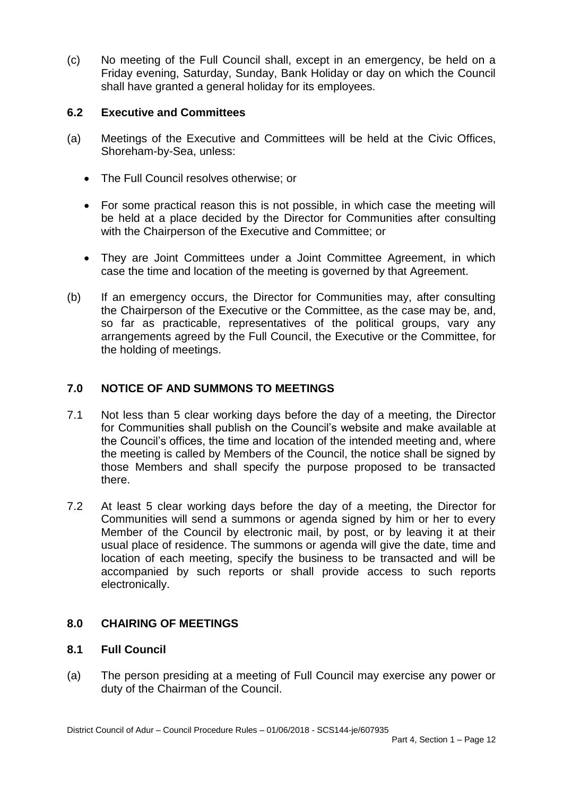(c) No meeting of the Full Council shall, except in an emergency, be held on a Friday evening, Saturday, Sunday, Bank Holiday or day on which the Council shall have granted a general holiday for its employees.

## **6.2 Executive and Committees**

- (a) Meetings of the Executive and Committees will be held at the Civic Offices, Shoreham-by-Sea, unless:
	- The Full Council resolves otherwise; or
	- For some practical reason this is not possible, in which case the meeting will be held at a place decided by the Director for Communities after consulting with the Chairperson of the Executive and Committee; or
	- They are Joint Committees under a Joint Committee Agreement, in which case the time and location of the meeting is governed by that Agreement.
- (b) If an emergency occurs, the Director for Communities may, after consulting the Chairperson of the Executive or the Committee, as the case may be, and, so far as practicable, representatives of the political groups, vary any arrangements agreed by the Full Council, the Executive or the Committee, for the holding of meetings.

## **7.0 NOTICE OF AND SUMMONS TO MEETINGS**

- 7.1 Not less than 5 clear working days before the day of a meeting, the Director for Communities shall publish on the Council's website and make available at the Council's offices, the time and location of the intended meeting and, where the meeting is called by Members of the Council, the notice shall be signed by those Members and shall specify the purpose proposed to be transacted there.
- 7.2 At least 5 clear working days before the day of a meeting, the Director for Communities will send a summons or agenda signed by him or her to every Member of the Council by electronic mail, by post, or by leaving it at their usual place of residence. The summons or agenda will give the date, time and location of each meeting, specify the business to be transacted and will be accompanied by such reports or shall provide access to such reports electronically.

### **8.0 CHAIRING OF MEETINGS**

### **8.1 Full Council**

(a) The person presiding at a meeting of Full Council may exercise any power or duty of the Chairman of the Council.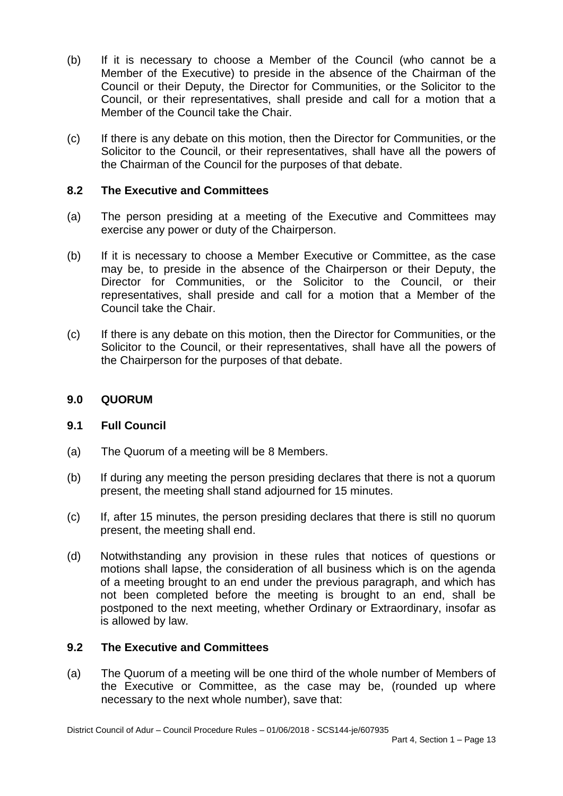- (b) If it is necessary to choose a Member of the Council (who cannot be a Member of the Executive) to preside in the absence of the Chairman of the Council or their Deputy, the Director for Communities, or the Solicitor to the Council, or their representatives, shall preside and call for a motion that a Member of the Council take the Chair.
- (c) If there is any debate on this motion, then the Director for Communities, or the Solicitor to the Council, or their representatives, shall have all the powers of the Chairman of the Council for the purposes of that debate.

### **8.2 The Executive and Committees**

- (a) The person presiding at a meeting of the Executive and Committees may exercise any power or duty of the Chairperson.
- (b) If it is necessary to choose a Member Executive or Committee, as the case may be, to preside in the absence of the Chairperson or their Deputy, the Director for Communities, or the Solicitor to the Council, or their representatives, shall preside and call for a motion that a Member of the Council take the Chair.
- (c) If there is any debate on this motion, then the Director for Communities, or the Solicitor to the Council, or their representatives, shall have all the powers of the Chairperson for the purposes of that debate.

### **9.0 QUORUM**

### **9.1 Full Council**

- (a) The Quorum of a meeting will be 8 Members.
- (b) If during any meeting the person presiding declares that there is not a quorum present, the meeting shall stand adjourned for 15 minutes.
- (c) If, after 15 minutes, the person presiding declares that there is still no quorum present, the meeting shall end.
- (d) Notwithstanding any provision in these rules that notices of questions or motions shall lapse, the consideration of all business which is on the agenda of a meeting brought to an end under the previous paragraph, and which has not been completed before the meeting is brought to an end, shall be postponed to the next meeting, whether Ordinary or Extraordinary, insofar as is allowed by law.

### **9.2 The Executive and Committees**

(a) The Quorum of a meeting will be one third of the whole number of Members of the Executive or Committee, as the case may be, (rounded up where necessary to the next whole number), save that: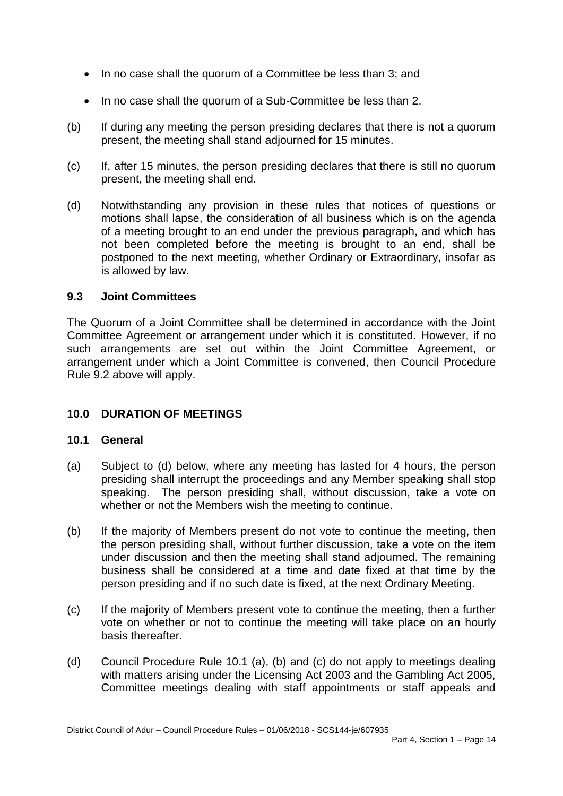- In no case shall the quorum of a Committee be less than 3; and
- In no case shall the quorum of a Sub-Committee be less than 2.
- (b) If during any meeting the person presiding declares that there is not a quorum present, the meeting shall stand adjourned for 15 minutes.
- (c) If, after 15 minutes, the person presiding declares that there is still no quorum present, the meeting shall end.
- (d) Notwithstanding any provision in these rules that notices of questions or motions shall lapse, the consideration of all business which is on the agenda of a meeting brought to an end under the previous paragraph, and which has not been completed before the meeting is brought to an end, shall be postponed to the next meeting, whether Ordinary or Extraordinary, insofar as is allowed by law.

### **9.3 Joint Committees**

The Quorum of a Joint Committee shall be determined in accordance with the Joint Committee Agreement or arrangement under which it is constituted. However, if no such arrangements are set out within the Joint Committee Agreement, or arrangement under which a Joint Committee is convened, then Council Procedure Rule 9.2 above will apply.

### **10.0 DURATION OF MEETINGS**

#### **10.1 General**

- (a) Subject to (d) below, where any meeting has lasted for 4 hours, the person presiding shall interrupt the proceedings and any Member speaking shall stop speaking. The person presiding shall, without discussion, take a vote on whether or not the Members wish the meeting to continue.
- (b) If the majority of Members present do not vote to continue the meeting, then the person presiding shall, without further discussion, take a vote on the item under discussion and then the meeting shall stand adjourned. The remaining business shall be considered at a time and date fixed at that time by the person presiding and if no such date is fixed, at the next Ordinary Meeting.
- (c) If the majority of Members present vote to continue the meeting, then a further vote on whether or not to continue the meeting will take place on an hourly basis thereafter.
- (d) Council Procedure Rule 10.1 (a), (b) and (c) do not apply to meetings dealing with matters arising under the Licensing Act 2003 and the Gambling Act 2005, Committee meetings dealing with staff appointments or staff appeals and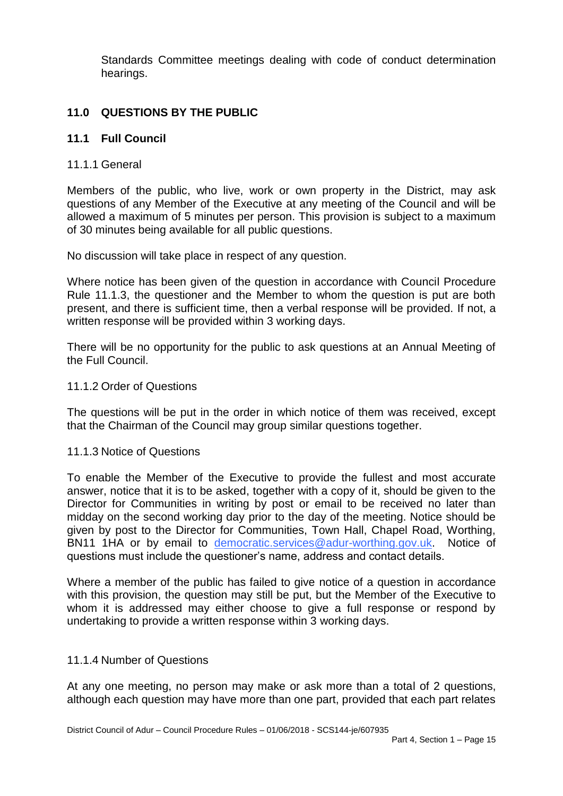Standards Committee meetings dealing with code of conduct determination hearings.

# **11.0 QUESTIONS BY THE PUBLIC**

### **11.1 Full Council**

#### 11.1.1 General

Members of the public, who live, work or own property in the District, may ask questions of any Member of the Executive at any meeting of the Council and will be allowed a maximum of 5 minutes per person. This provision is subject to a maximum of 30 minutes being available for all public questions.

No discussion will take place in respect of any question.

Where notice has been given of the question in accordance with Council Procedure Rule 11.1.3, the questioner and the Member to whom the question is put are both present, and there is sufficient time, then a verbal response will be provided. If not, a written response will be provided within 3 working days.

There will be no opportunity for the public to ask questions at an Annual Meeting of the Full Council.

#### 11.1.2 Order of Questions

The questions will be put in the order in which notice of them was received, except that the Chairman of the Council may group similar questions together.

#### 11.1.3 Notice of Questions

To enable the Member of the Executive to provide the fullest and most accurate answer, notice that it is to be asked, together with a copy of it, should be given to the Director for Communities in writing by post or email to be received no later than midday on the second working day prior to the day of the meeting. Notice should be given by post to the Director for Communities, Town Hall, Chapel Road, Worthing, BN11 1HA or by email to [democratic.services@adur-worthing.gov.uk.](mailto:democratic.services@adur-worthing.gov.uk) Notice of questions must include the questioner's name, address and contact details.

Where a member of the public has failed to give notice of a question in accordance with this provision, the question may still be put, but the Member of the Executive to whom it is addressed may either choose to give a full response or respond by undertaking to provide a written response within 3 working days.

#### 11.1.4 Number of Questions

At any one meeting, no person may make or ask more than a total of 2 questions, although each question may have more than one part, provided that each part relates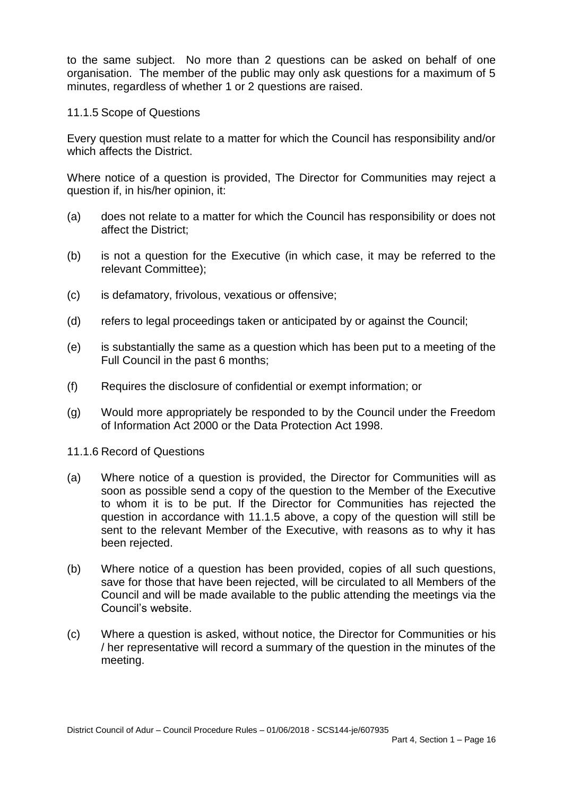to the same subject. No more than 2 questions can be asked on behalf of one organisation. The member of the public may only ask questions for a maximum of 5 minutes, regardless of whether 1 or 2 questions are raised.

#### 11.1.5 Scope of Questions

Every question must relate to a matter for which the Council has responsibility and/or which affects the District.

Where notice of a question is provided, The Director for Communities may reject a question if, in his/her opinion, it:

- (a) does not relate to a matter for which the Council has responsibility or does not affect the District;
- (b) is not a question for the Executive (in which case, it may be referred to the relevant Committee);
- (c) is defamatory, frivolous, vexatious or offensive;
- (d) refers to legal proceedings taken or anticipated by or against the Council;
- (e) is substantially the same as a question which has been put to a meeting of the Full Council in the past 6 months;
- (f) Requires the disclosure of confidential or exempt information; or
- (g) Would more appropriately be responded to by the Council under the Freedom of Information Act 2000 or the Data Protection Act 1998.
- 11.1.6 Record of Questions
- (a) Where notice of a question is provided, the Director for Communities will as soon as possible send a copy of the question to the Member of the Executive to whom it is to be put. If the Director for Communities has rejected the question in accordance with 11.1.5 above, a copy of the question will still be sent to the relevant Member of the Executive, with reasons as to why it has been rejected.
- (b) Where notice of a question has been provided, copies of all such questions, save for those that have been rejected, will be circulated to all Members of the Council and will be made available to the public attending the meetings via the Council's website.
- (c) Where a question is asked, without notice, the Director for Communities or his / her representative will record a summary of the question in the minutes of the meeting.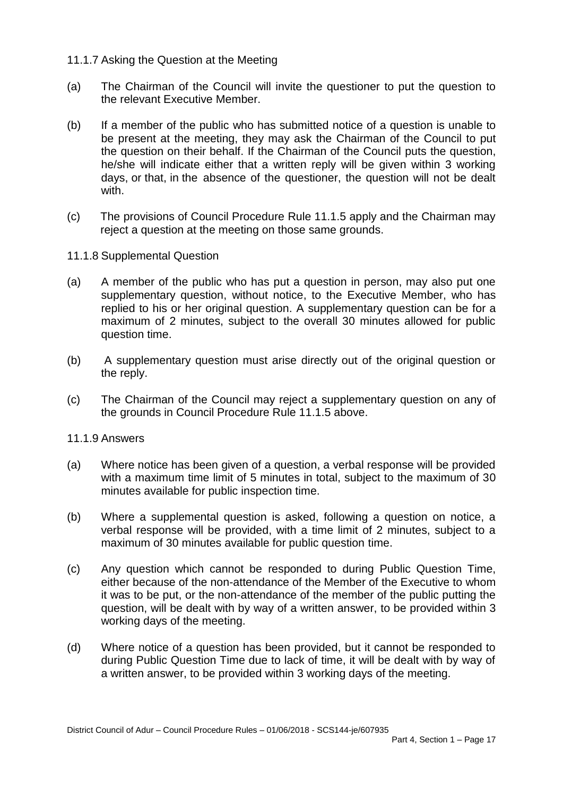#### 11.1.7 Asking the Question at the Meeting

- (a) The Chairman of the Council will invite the questioner to put the question to the relevant Executive Member.
- (b) If a member of the public who has submitted notice of a question is unable to be present at the meeting, they may ask the Chairman of the Council to put the question on their behalf. If the Chairman of the Council puts the question, he/she will indicate either that a written reply will be given within 3 working days, or that, in the absence of the questioner, the question will not be dealt with.
- (c) The provisions of Council Procedure Rule 11.1.5 apply and the Chairman may reject a question at the meeting on those same grounds.
- 11.1.8 Supplemental Question
- (a) A member of the public who has put a question in person, may also put one supplementary question, without notice, to the Executive Member, who has replied to his or her original question. A supplementary question can be for a maximum of 2 minutes, subject to the overall 30 minutes allowed for public question time.
- (b) A supplementary question must arise directly out of the original question or the reply.
- (c) The Chairman of the Council may reject a supplementary question on any of the grounds in Council Procedure Rule 11.1.5 above.

#### 11.1.9 Answers

- (a) Where notice has been given of a question, a verbal response will be provided with a maximum time limit of 5 minutes in total, subject to the maximum of 30 minutes available for public inspection time.
- (b) Where a supplemental question is asked, following a question on notice, a verbal response will be provided, with a time limit of 2 minutes, subject to a maximum of 30 minutes available for public question time.
- (c) Any question which cannot be responded to during Public Question Time, either because of the non-attendance of the Member of the Executive to whom it was to be put, or the non-attendance of the member of the public putting the question, will be dealt with by way of a written answer, to be provided within 3 working days of the meeting.
- (d) Where notice of a question has been provided, but it cannot be responded to during Public Question Time due to lack of time, it will be dealt with by way of a written answer, to be provided within 3 working days of the meeting.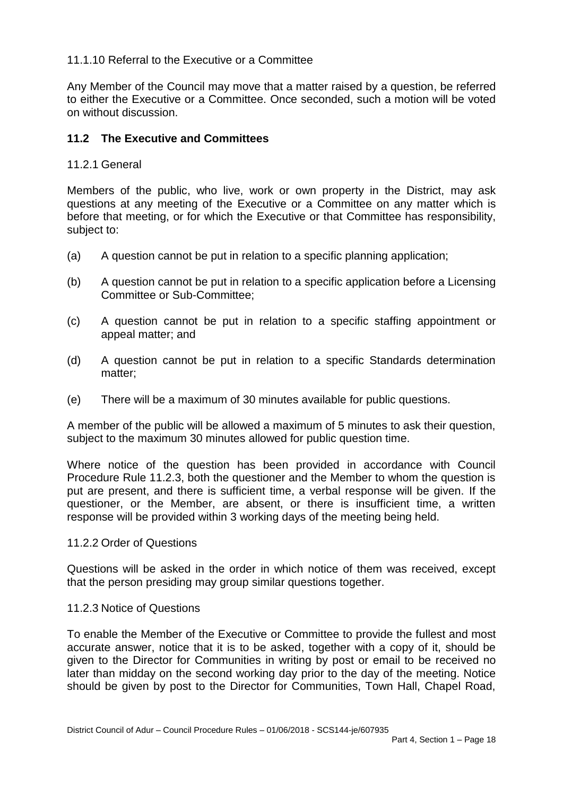### 11.1.10 Referral to the Executive or a Committee

Any Member of the Council may move that a matter raised by a question, be referred to either the Executive or a Committee. Once seconded, such a motion will be voted on without discussion.

## **11.2 The Executive and Committees**

### 11.2.1 General

Members of the public, who live, work or own property in the District, may ask questions at any meeting of the Executive or a Committee on any matter which is before that meeting, or for which the Executive or that Committee has responsibility, subject to:

- (a) A question cannot be put in relation to a specific planning application;
- (b) A question cannot be put in relation to a specific application before a Licensing Committee or Sub-Committee;
- (c) A question cannot be put in relation to a specific staffing appointment or appeal matter; and
- (d) A question cannot be put in relation to a specific Standards determination matter;
- (e) There will be a maximum of 30 minutes available for public questions.

A member of the public will be allowed a maximum of 5 minutes to ask their question, subject to the maximum 30 minutes allowed for public question time.

Where notice of the question has been provided in accordance with Council Procedure Rule 11.2.3, both the questioner and the Member to whom the question is put are present, and there is sufficient time, a verbal response will be given. If the questioner, or the Member, are absent, or there is insufficient time, a written response will be provided within 3 working days of the meeting being held.

#### 11.2.2 Order of Questions

Questions will be asked in the order in which notice of them was received, except that the person presiding may group similar questions together.

### 11.2.3 Notice of Questions

To enable the Member of the Executive or Committee to provide the fullest and most accurate answer, notice that it is to be asked, together with a copy of it, should be given to the Director for Communities in writing by post or email to be received no later than midday on the second working day prior to the day of the meeting. Notice should be given by post to the Director for Communities, Town Hall, Chapel Road,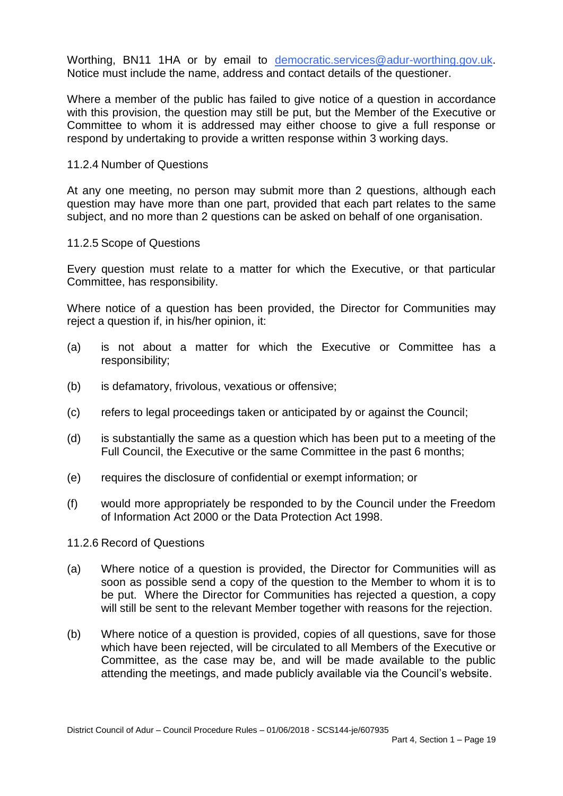Worthing, BN11 1HA or by email to [democratic.services@adur-worthing.gov.uk.](mailto:democratic.services@adur-worthing.gov.uk) Notice must include the name, address and contact details of the questioner.

Where a member of the public has failed to give notice of a question in accordance with this provision, the question may still be put, but the Member of the Executive or Committee to whom it is addressed may either choose to give a full response or respond by undertaking to provide a written response within 3 working days.

#### 11.2.4 Number of Questions

At any one meeting, no person may submit more than 2 questions, although each question may have more than one part, provided that each part relates to the same subject, and no more than 2 questions can be asked on behalf of one organisation.

#### 11.2.5 Scope of Questions

Every question must relate to a matter for which the Executive, or that particular Committee, has responsibility.

Where notice of a question has been provided, the Director for Communities may reject a question if, in his/her opinion, it:

- (a) is not about a matter for which the Executive or Committee has a responsibility;
- (b) is defamatory, frivolous, vexatious or offensive;
- (c) refers to legal proceedings taken or anticipated by or against the Council;
- (d) is substantially the same as a question which has been put to a meeting of the Full Council, the Executive or the same Committee in the past 6 months;
- (e) requires the disclosure of confidential or exempt information; or
- (f) would more appropriately be responded to by the Council under the Freedom of Information Act 2000 or the Data Protection Act 1998.

#### 11.2.6 Record of Questions

- (a) Where notice of a question is provided, the Director for Communities will as soon as possible send a copy of the question to the Member to whom it is to be put. Where the Director for Communities has rejected a question, a copy will still be sent to the relevant Member together with reasons for the rejection.
- (b) Where notice of a question is provided, copies of all questions, save for those which have been rejected, will be circulated to all Members of the Executive or Committee, as the case may be, and will be made available to the public attending the meetings, and made publicly available via the Council's website.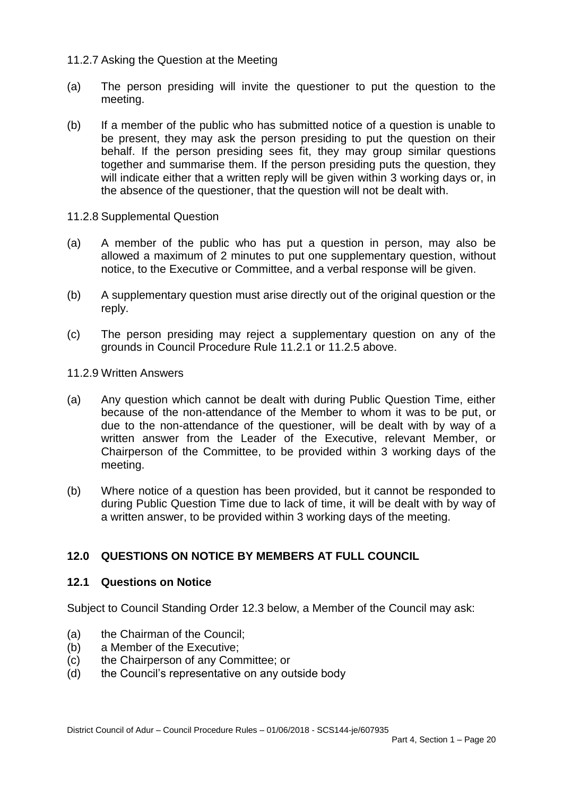### 11.2.7 Asking the Question at the Meeting

- (a) The person presiding will invite the questioner to put the question to the meeting.
- (b) If a member of the public who has submitted notice of a question is unable to be present, they may ask the person presiding to put the question on their behalf. If the person presiding sees fit, they may group similar questions together and summarise them. If the person presiding puts the question, they will indicate either that a written reply will be given within 3 working days or, in the absence of the questioner, that the question will not be dealt with.
- 11.2.8 Supplemental Question
- (a) A member of the public who has put a question in person, may also be allowed a maximum of 2 minutes to put one supplementary question, without notice, to the Executive or Committee, and a verbal response will be given.
- (b) A supplementary question must arise directly out of the original question or the reply.
- (c) The person presiding may reject a supplementary question on any of the grounds in Council Procedure Rule 11.2.1 or 11.2.5 above.
- 11.2.9 Written Answers
- (a) Any question which cannot be dealt with during Public Question Time, either because of the non-attendance of the Member to whom it was to be put, or due to the non-attendance of the questioner, will be dealt with by way of a written answer from the Leader of the Executive, relevant Member, or Chairperson of the Committee, to be provided within 3 working days of the meeting.
- (b) Where notice of a question has been provided, but it cannot be responded to during Public Question Time due to lack of time, it will be dealt with by way of a written answer, to be provided within 3 working days of the meeting.

# **12.0 QUESTIONS ON NOTICE BY MEMBERS AT FULL COUNCIL**

#### **12.1 Questions on Notice**

Subject to Council Standing Order 12.3 below, a Member of the Council may ask:

- (a) the Chairman of the Council;
- (b) a Member of the Executive;
- (c) the Chairperson of any Committee; or
- (d) the Council's representative on any outside body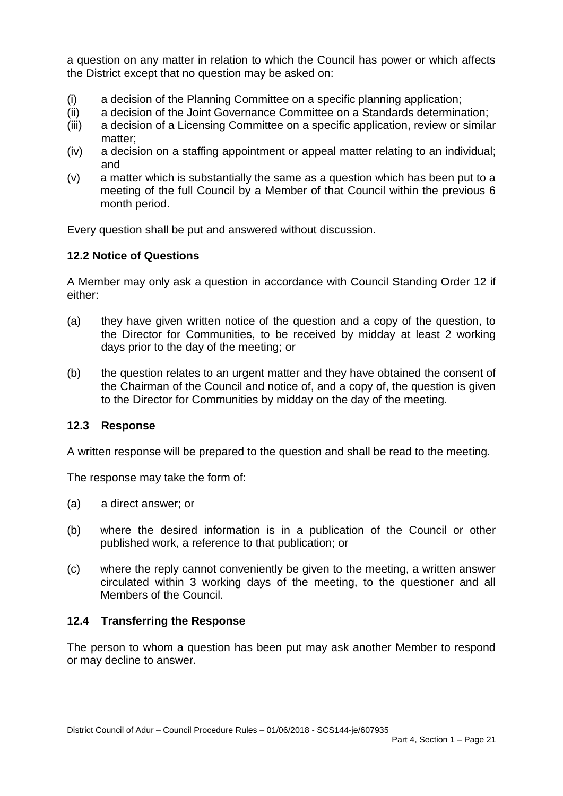a question on any matter in relation to which the Council has power or which affects the District except that no question may be asked on:

- (i) a decision of the Planning Committee on a specific planning application;
- (ii) a decision of the Joint Governance Committee on a Standards determination;
- (iii) a decision of a Licensing Committee on a specific application, review or similar matter;
- (iv) a decision on a staffing appointment or appeal matter relating to an individual; and
- (v) a matter which is substantially the same as a question which has been put to a meeting of the full Council by a Member of that Council within the previous 6 month period.

Every question shall be put and answered without discussion.

# **12.2 Notice of Questions**

A Member may only ask a question in accordance with Council Standing Order 12 if either:

- (a) they have given written notice of the question and a copy of the question, to the Director for Communities, to be received by midday at least 2 working days prior to the day of the meeting; or
- (b) the question relates to an urgent matter and they have obtained the consent of the Chairman of the Council and notice of, and a copy of, the question is given to the Director for Communities by midday on the day of the meeting.

### **12.3 Response**

A written response will be prepared to the question and shall be read to the meeting.

The response may take the form of:

- (a) a direct answer; or
- (b) where the desired information is in a publication of the Council or other published work, a reference to that publication; or
- (c) where the reply cannot conveniently be given to the meeting, a written answer circulated within 3 working days of the meeting, to the questioner and all Members of the Council.

### **12.4 Transferring the Response**

The person to whom a question has been put may ask another Member to respond or may decline to answer.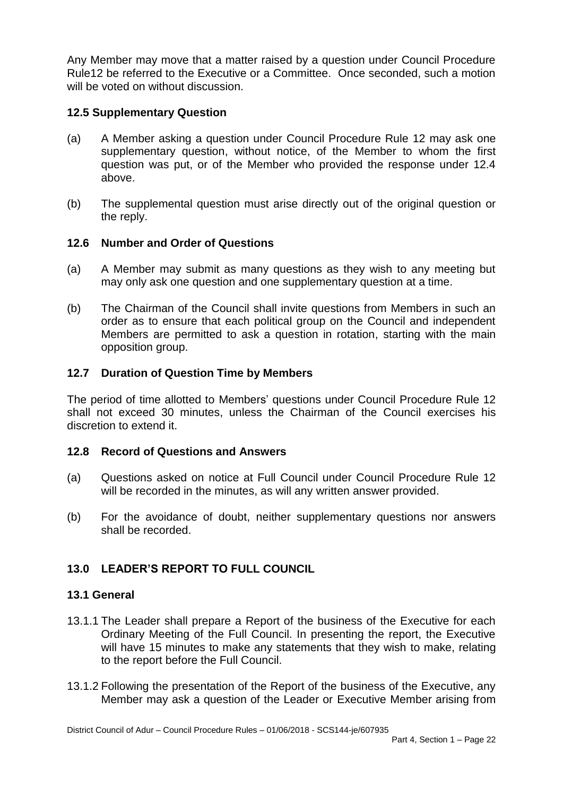Any Member may move that a matter raised by a question under Council Procedure Rule12 be referred to the Executive or a Committee. Once seconded, such a motion will be voted on without discussion.

## **12.5 Supplementary Question**

- (a) A Member asking a question under Council Procedure Rule 12 may ask one supplementary question, without notice, of the Member to whom the first question was put, or of the Member who provided the response under 12.4 above.
- (b) The supplemental question must arise directly out of the original question or the reply.

### **12.6 Number and Order of Questions**

- (a) A Member may submit as many questions as they wish to any meeting but may only ask one question and one supplementary question at a time.
- (b) The Chairman of the Council shall invite questions from Members in such an order as to ensure that each political group on the Council and independent Members are permitted to ask a question in rotation, starting with the main opposition group.

## **12.7 Duration of Question Time by Members**

The period of time allotted to Members' questions under Council Procedure Rule 12 shall not exceed 30 minutes, unless the Chairman of the Council exercises his discretion to extend it.

### **12.8 Record of Questions and Answers**

- (a) Questions asked on notice at Full Council under Council Procedure Rule 12 will be recorded in the minutes, as will any written answer provided.
- (b) For the avoidance of doubt, neither supplementary questions nor answers shall be recorded.

# **13.0 LEADER'S REPORT TO FULL COUNCIL**

### **13.1 General**

- 13.1.1 The Leader shall prepare a Report of the business of the Executive for each Ordinary Meeting of the Full Council. In presenting the report, the Executive will have 15 minutes to make any statements that they wish to make, relating to the report before the Full Council.
- 13.1.2 Following the presentation of the Report of the business of the Executive, any Member may ask a question of the Leader or Executive Member arising from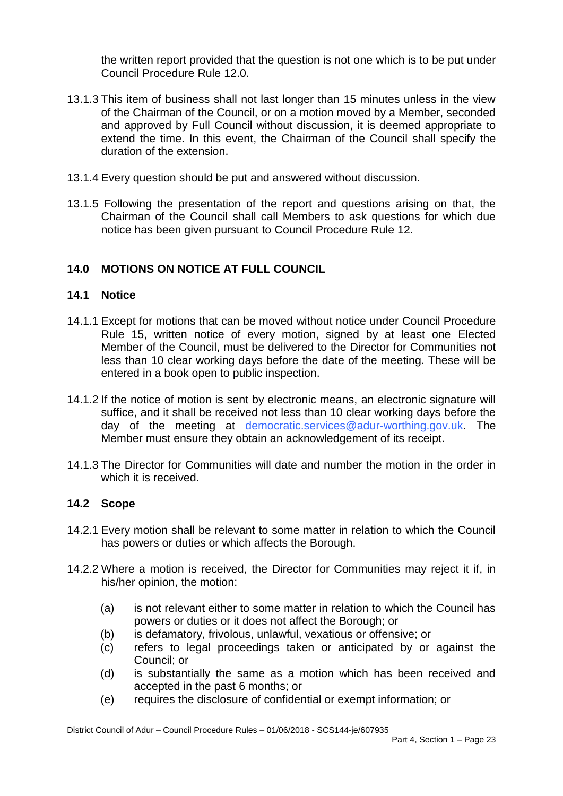the written report provided that the question is not one which is to be put under Council Procedure Rule 12.0.

- 13.1.3 This item of business shall not last longer than 15 minutes unless in the view of the Chairman of the Council, or on a motion moved by a Member, seconded and approved by Full Council without discussion, it is deemed appropriate to extend the time. In this event, the Chairman of the Council shall specify the duration of the extension.
- 13.1.4 Every question should be put and answered without discussion.
- 13.1.5 Following the presentation of the report and questions arising on that, the Chairman of the Council shall call Members to ask questions for which due notice has been given pursuant to Council Procedure Rule 12.

# **14.0 MOTIONS ON NOTICE AT FULL COUNCIL**

# **14.1 Notice**

- 14.1.1 Except for motions that can be moved without notice under Council Procedure Rule 15, written notice of every motion, signed by at least one Elected Member of the Council, must be delivered to the Director for Communities not less than 10 clear working days before the date of the meeting. These will be entered in a book open to public inspection.
- 14.1.2 If the notice of motion is sent by electronic means, an electronic signature will suffice, and it shall be received not less than 10 clear working days before the day of the meeting at [democratic.services@adur-worthing.gov.uk.](mailto:democratic.services@adur-worthing.gov.uk) The Member must ensure they obtain an acknowledgement of its receipt.
- 14.1.3 The Director for Communities will date and number the motion in the order in which it is received.

# **14.2 Scope**

- 14.2.1 Every motion shall be relevant to some matter in relation to which the Council has powers or duties or which affects the Borough.
- 14.2.2 Where a motion is received, the Director for Communities may reject it if, in his/her opinion, the motion:
	- (a) is not relevant either to some matter in relation to which the Council has powers or duties or it does not affect the Borough; or
	- (b) is defamatory, frivolous, unlawful, vexatious or offensive; or
	- (c) refers to legal proceedings taken or anticipated by or against the Council; or
	- (d) is substantially the same as a motion which has been received and accepted in the past 6 months; or
	- (e) requires the disclosure of confidential or exempt information; or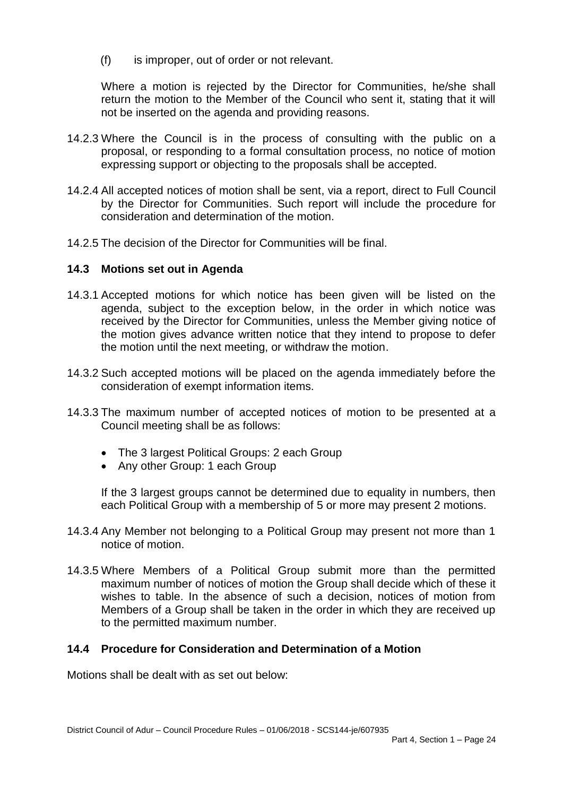(f) is improper, out of order or not relevant.

Where a motion is rejected by the Director for Communities, he/she shall return the motion to the Member of the Council who sent it, stating that it will not be inserted on the agenda and providing reasons.

- 14.2.3 Where the Council is in the process of consulting with the public on a proposal, or responding to a formal consultation process, no notice of motion expressing support or objecting to the proposals shall be accepted.
- 14.2.4 All accepted notices of motion shall be sent, via a report, direct to Full Council by the Director for Communities. Such report will include the procedure for consideration and determination of the motion.
- 14.2.5 The decision of the Director for Communities will be final.

#### **14.3 Motions set out in Agenda**

- 14.3.1 Accepted motions for which notice has been given will be listed on the agenda, subject to the exception below, in the order in which notice was received by the Director for Communities, unless the Member giving notice of the motion gives advance written notice that they intend to propose to defer the motion until the next meeting, or withdraw the motion.
- 14.3.2 Such accepted motions will be placed on the agenda immediately before the consideration of exempt information items.
- 14.3.3 The maximum number of accepted notices of motion to be presented at a Council meeting shall be as follows:
	- The 3 largest Political Groups: 2 each Group
	- Any other Group: 1 each Group

If the 3 largest groups cannot be determined due to equality in numbers, then each Political Group with a membership of 5 or more may present 2 motions.

- 14.3.4 Any Member not belonging to a Political Group may present not more than 1 notice of motion.
- 14.3.5 Where Members of a Political Group submit more than the permitted maximum number of notices of motion the Group shall decide which of these it wishes to table. In the absence of such a decision, notices of motion from Members of a Group shall be taken in the order in which they are received up to the permitted maximum number.

### **14.4 Procedure for Consideration and Determination of a Motion**

Motions shall be dealt with as set out below: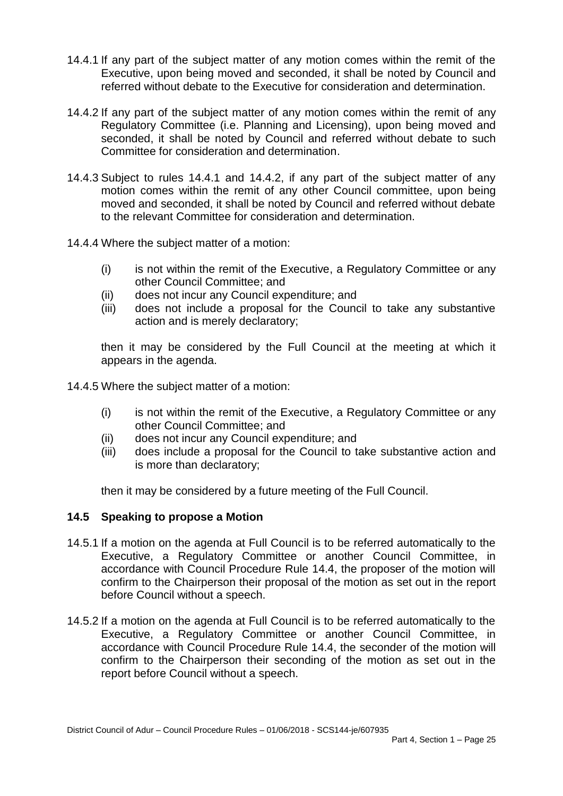- 14.4.1 If any part of the subject matter of any motion comes within the remit of the Executive, upon being moved and seconded, it shall be noted by Council and referred without debate to the Executive for consideration and determination.
- 14.4.2 If any part of the subject matter of any motion comes within the remit of any Regulatory Committee (i.e. Planning and Licensing), upon being moved and seconded, it shall be noted by Council and referred without debate to such Committee for consideration and determination.
- 14.4.3 Subject to rules 14.4.1 and 14.4.2, if any part of the subject matter of any motion comes within the remit of any other Council committee, upon being moved and seconded, it shall be noted by Council and referred without debate to the relevant Committee for consideration and determination.
- 14.4.4 Where the subject matter of a motion:
	- (i) is not within the remit of the Executive, a Regulatory Committee or any other Council Committee; and
	- (ii) does not incur any Council expenditure; and
	- (iii) does not include a proposal for the Council to take any substantive action and is merely declaratory;

then it may be considered by the Full Council at the meeting at which it appears in the agenda.

14.4.5 Where the subject matter of a motion:

- (i) is not within the remit of the Executive, a Regulatory Committee or any other Council Committee; and
- (ii) does not incur any Council expenditure; and
- (iii) does include a proposal for the Council to take substantive action and is more than declaratory;

then it may be considered by a future meeting of the Full Council.

### **14.5 Speaking to propose a Motion**

- 14.5.1 If a motion on the agenda at Full Council is to be referred automatically to the Executive, a Regulatory Committee or another Council Committee, in accordance with Council Procedure Rule 14.4, the proposer of the motion will confirm to the Chairperson their proposal of the motion as set out in the report before Council without a speech.
- 14.5.2 If a motion on the agenda at Full Council is to be referred automatically to the Executive, a Regulatory Committee or another Council Committee, in accordance with Council Procedure Rule 14.4, the seconder of the motion will confirm to the Chairperson their seconding of the motion as set out in the report before Council without a speech.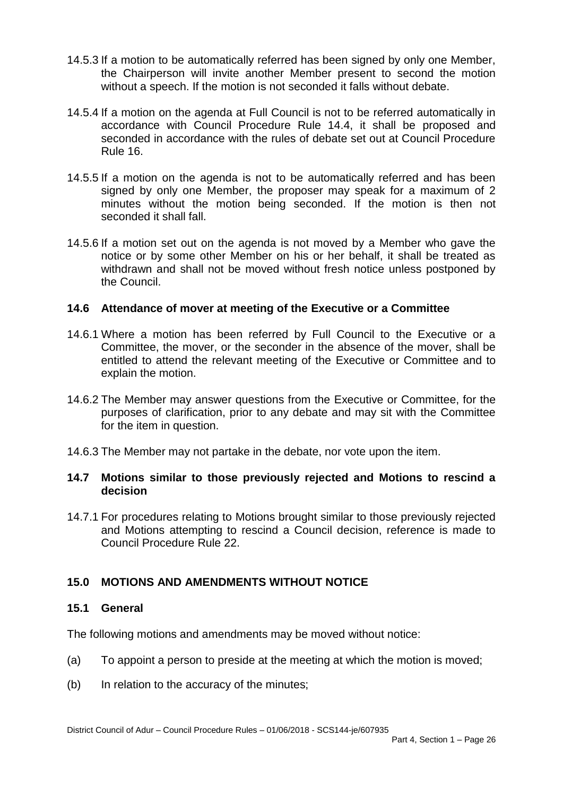- 14.5.3 If a motion to be automatically referred has been signed by only one Member, the Chairperson will invite another Member present to second the motion without a speech. If the motion is not seconded it falls without debate.
- 14.5.4 If a motion on the agenda at Full Council is not to be referred automatically in accordance with Council Procedure Rule 14.4, it shall be proposed and seconded in accordance with the rules of debate set out at Council Procedure Rule 16.
- 14.5.5 If a motion on the agenda is not to be automatically referred and has been signed by only one Member, the proposer may speak for a maximum of 2 minutes without the motion being seconded. If the motion is then not seconded it shall fall.
- 14.5.6 If a motion set out on the agenda is not moved by a Member who gave the notice or by some other Member on his or her behalf, it shall be treated as withdrawn and shall not be moved without fresh notice unless postponed by the Council.

### **14.6 Attendance of mover at meeting of the Executive or a Committee**

- 14.6.1 Where a motion has been referred by Full Council to the Executive or a Committee, the mover, or the seconder in the absence of the mover, shall be entitled to attend the relevant meeting of the Executive or Committee and to explain the motion.
- 14.6.2 The Member may answer questions from the Executive or Committee, for the purposes of clarification, prior to any debate and may sit with the Committee for the item in question.
- 14.6.3 The Member may not partake in the debate, nor vote upon the item.

### **14.7 Motions similar to those previously rejected and Motions to rescind a decision**

14.7.1 For procedures relating to Motions brought similar to those previously rejected and Motions attempting to rescind a Council decision, reference is made to Council Procedure Rule 22.

# **15.0 MOTIONS AND AMENDMENTS WITHOUT NOTICE**

### **15.1 General**

The following motions and amendments may be moved without notice:

- (a) To appoint a person to preside at the meeting at which the motion is moved;
- (b) In relation to the accuracy of the minutes;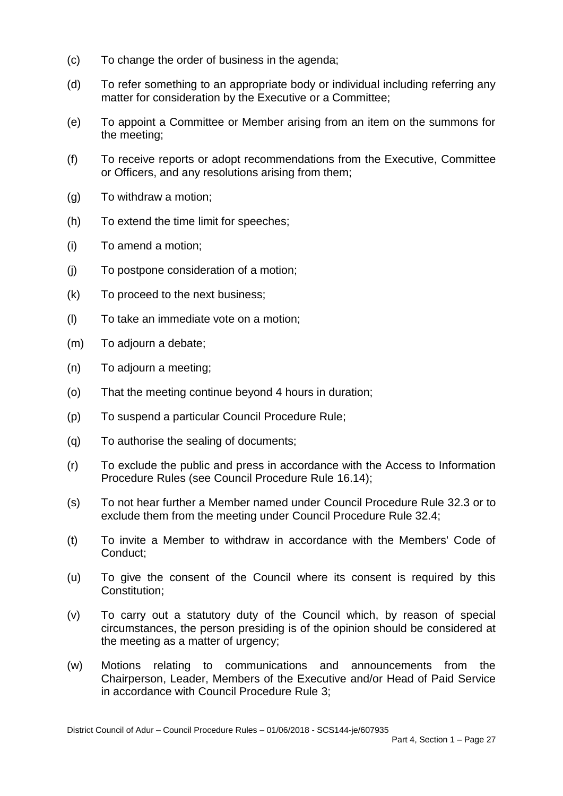- (c) To change the order of business in the agenda;
- (d) To refer something to an appropriate body or individual including referring any matter for consideration by the Executive or a Committee;
- (e) To appoint a Committee or Member arising from an item on the summons for the meeting;
- (f) To receive reports or adopt recommendations from the Executive, Committee or Officers, and any resolutions arising from them;
- (g) To withdraw a motion;
- (h) To extend the time limit for speeches;
- (i) To amend a motion;
- (j) To postpone consideration of a motion;
- (k) To proceed to the next business;
- (l) To take an immediate vote on a motion;
- (m) To adjourn a debate;
- (n) To adjourn a meeting;
- (o) That the meeting continue beyond 4 hours in duration;
- (p) To suspend a particular Council Procedure Rule;
- (q) To authorise the sealing of documents;
- (r) To exclude the public and press in accordance with the Access to Information Procedure Rules (see Council Procedure Rule 16.14);
- (s) To not hear further a Member named under Council Procedure Rule 32.3 or to exclude them from the meeting under Council Procedure Rule 32.4;
- (t) To invite a Member to withdraw in accordance with the Members' Code of Conduct;
- (u) To give the consent of the Council where its consent is required by this Constitution;
- (v) To carry out a statutory duty of the Council which, by reason of special circumstances, the person presiding is of the opinion should be considered at the meeting as a matter of urgency;
- (w) Motions relating to communications and announcements from the Chairperson, Leader, Members of the Executive and/or Head of Paid Service in accordance with Council Procedure Rule 3;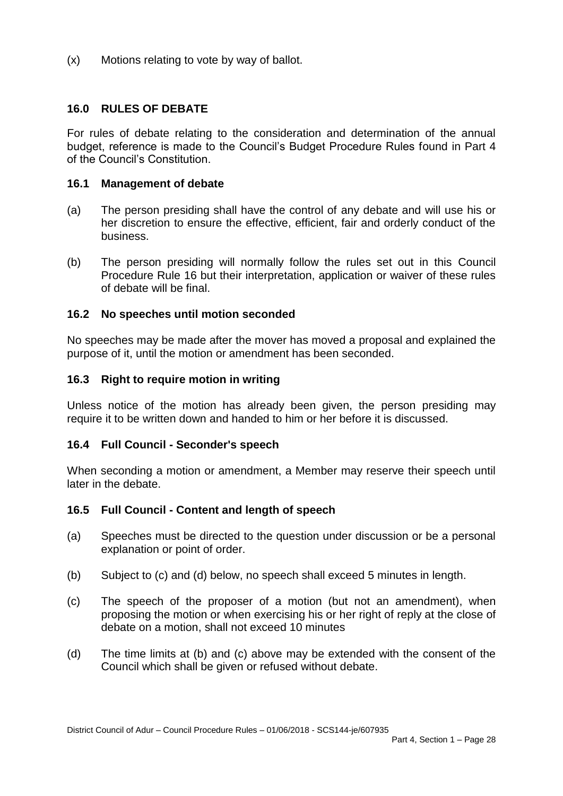(x) Motions relating to vote by way of ballot.

### **16.0 RULES OF DEBATE**

For rules of debate relating to the consideration and determination of the annual budget, reference is made to the Council's Budget Procedure Rules found in Part 4 of the Council's Constitution.

#### **16.1 Management of debate**

- (a) The person presiding shall have the control of any debate and will use his or her discretion to ensure the effective, efficient, fair and orderly conduct of the business.
- (b) The person presiding will normally follow the rules set out in this Council Procedure Rule 16 but their interpretation, application or waiver of these rules of debate will be final.

### **16.2 No speeches until motion seconded**

No speeches may be made after the mover has moved a proposal and explained the purpose of it, until the motion or amendment has been seconded.

#### **16.3 Right to require motion in writing**

Unless notice of the motion has already been given, the person presiding may require it to be written down and handed to him or her before it is discussed.

### **16.4 Full Council - Seconder's speech**

When seconding a motion or amendment, a Member may reserve their speech until later in the debate.

### **16.5 Full Council - Content and length of speech**

- (a) Speeches must be directed to the question under discussion or be a personal explanation or point of order.
- (b) Subject to (c) and (d) below, no speech shall exceed 5 minutes in length.
- (c) The speech of the proposer of a motion (but not an amendment), when proposing the motion or when exercising his or her right of reply at the close of debate on a motion, shall not exceed 10 minutes
- (d) The time limits at (b) and (c) above may be extended with the consent of the Council which shall be given or refused without debate.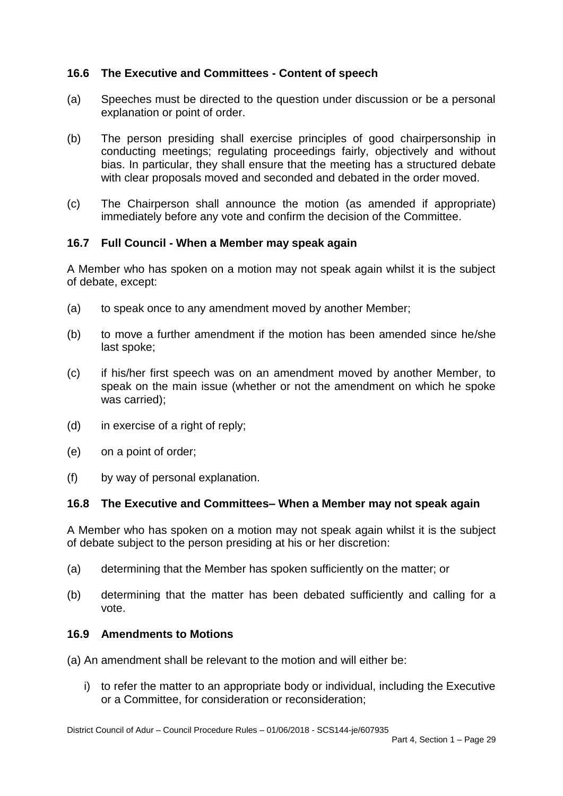# **16.6 The Executive and Committees - Content of speech**

- (a) Speeches must be directed to the question under discussion or be a personal explanation or point of order.
- (b) The person presiding shall exercise principles of good chairpersonship in conducting meetings; regulating proceedings fairly, objectively and without bias. In particular, they shall ensure that the meeting has a structured debate with clear proposals moved and seconded and debated in the order moved.
- (c) The Chairperson shall announce the motion (as amended if appropriate) immediately before any vote and confirm the decision of the Committee.

## **16.7 Full Council - When a Member may speak again**

A Member who has spoken on a motion may not speak again whilst it is the subject of debate, except:

- (a) to speak once to any amendment moved by another Member;
- (b) to move a further amendment if the motion has been amended since he/she last spoke;
- (c) if his/her first speech was on an amendment moved by another Member, to speak on the main issue (whether or not the amendment on which he spoke was carried);
- (d) in exercise of a right of reply;
- (e) on a point of order;
- (f) by way of personal explanation.

### **16.8 The Executive and Committees– When a Member may not speak again**

A Member who has spoken on a motion may not speak again whilst it is the subject of debate subject to the person presiding at his or her discretion:

- (a) determining that the Member has spoken sufficiently on the matter; or
- (b) determining that the matter has been debated sufficiently and calling for a vote.

### **16.9 Amendments to Motions**

- (a) An amendment shall be relevant to the motion and will either be:
	- i) to refer the matter to an appropriate body or individual, including the Executive or a Committee, for consideration or reconsideration;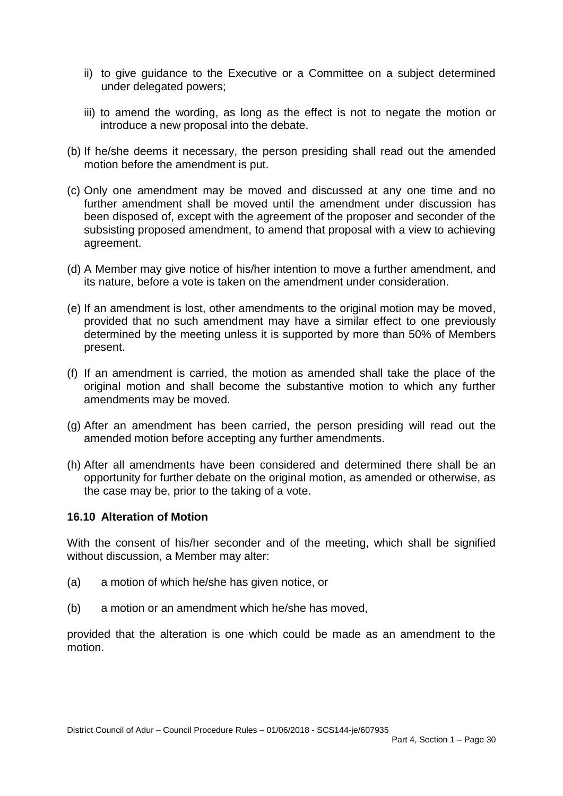- ii) to give guidance to the Executive or a Committee on a subject determined under delegated powers;
- iii) to amend the wording, as long as the effect is not to negate the motion or introduce a new proposal into the debate.
- (b) If he/she deems it necessary, the person presiding shall read out the amended motion before the amendment is put.
- (c) Only one amendment may be moved and discussed at any one time and no further amendment shall be moved until the amendment under discussion has been disposed of, except with the agreement of the proposer and seconder of the subsisting proposed amendment, to amend that proposal with a view to achieving agreement.
- (d) A Member may give notice of his/her intention to move a further amendment, and its nature, before a vote is taken on the amendment under consideration.
- (e) If an amendment is lost, other amendments to the original motion may be moved, provided that no such amendment may have a similar effect to one previously determined by the meeting unless it is supported by more than 50% of Members present.
- (f) If an amendment is carried, the motion as amended shall take the place of the original motion and shall become the substantive motion to which any further amendments may be moved.
- (g) After an amendment has been carried, the person presiding will read out the amended motion before accepting any further amendments.
- (h) After all amendments have been considered and determined there shall be an opportunity for further debate on the original motion, as amended or otherwise, as the case may be, prior to the taking of a vote.

### **16.10 Alteration of Motion**

With the consent of his/her seconder and of the meeting, which shall be signified without discussion, a Member may alter:

- (a) a motion of which he/she has given notice, or
- (b) a motion or an amendment which he/she has moved,

provided that the alteration is one which could be made as an amendment to the motion.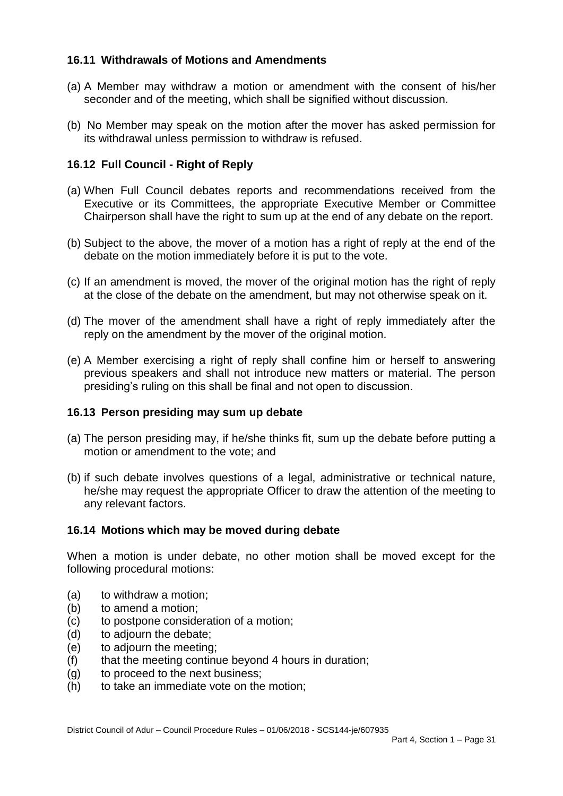### **16.11 Withdrawals of Motions and Amendments**

- (a) A Member may withdraw a motion or amendment with the consent of his/her seconder and of the meeting, which shall be signified without discussion.
- (b) No Member may speak on the motion after the mover has asked permission for its withdrawal unless permission to withdraw is refused.

# **16.12 Full Council - Right of Reply**

- (a) When Full Council debates reports and recommendations received from the Executive or its Committees, the appropriate Executive Member or Committee Chairperson shall have the right to sum up at the end of any debate on the report.
- (b) Subject to the above, the mover of a motion has a right of reply at the end of the debate on the motion immediately before it is put to the vote.
- (c) If an amendment is moved, the mover of the original motion has the right of reply at the close of the debate on the amendment, but may not otherwise speak on it.
- (d) The mover of the amendment shall have a right of reply immediately after the reply on the amendment by the mover of the original motion.
- (e) A Member exercising a right of reply shall confine him or herself to answering previous speakers and shall not introduce new matters or material. The person presiding's ruling on this shall be final and not open to discussion.

### **16.13 Person presiding may sum up debate**

- (a) The person presiding may, if he/she thinks fit, sum up the debate before putting a motion or amendment to the vote; and
- (b) if such debate involves questions of a legal, administrative or technical nature, he/she may request the appropriate Officer to draw the attention of the meeting to any relevant factors.

### **16.14 Motions which may be moved during debate**

When a motion is under debate, no other motion shall be moved except for the following procedural motions:

- (a) to withdraw a motion;
- (b) to amend a motion;
- (c) to postpone consideration of a motion;
- (d) to adjourn the debate;
- (e) to adjourn the meeting;
- (f) that the meeting continue beyond 4 hours in duration;
- (g) to proceed to the next business;
- (h) to take an immediate vote on the motion;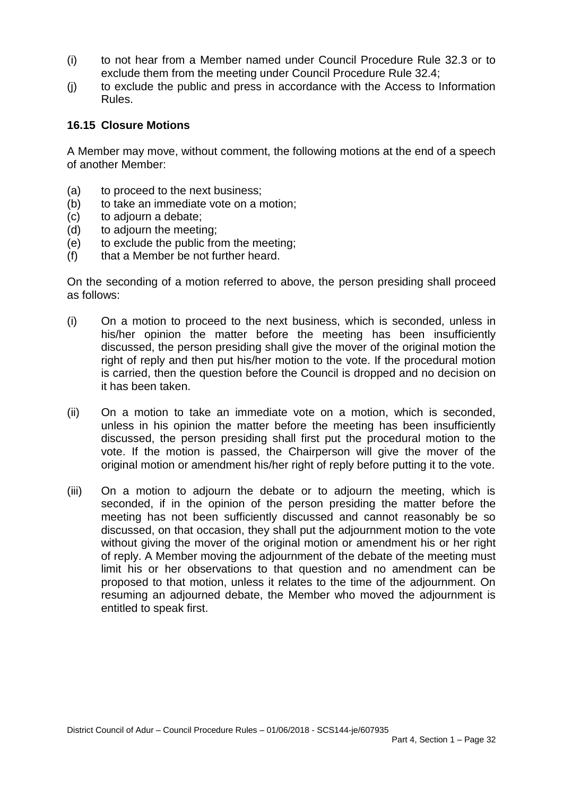- (i) to not hear from a Member named under Council Procedure Rule 32.3 or to exclude them from the meeting under Council Procedure Rule 32.4;
- (j) to exclude the public and press in accordance with the Access to Information Rules.

#### **16.15 Closure Motions**

A Member may move, without comment, the following motions at the end of a speech of another Member:

- (a) to proceed to the next business;
- (b) to take an immediate vote on a motion:
- (c) to adjourn a debate;
- (d) to adjourn the meeting;
- (e) to exclude the public from the meeting;
- (f) that a Member be not further heard.

On the seconding of a motion referred to above, the person presiding shall proceed as follows:

- (i) On a motion to proceed to the next business, which is seconded, unless in his/her opinion the matter before the meeting has been insufficiently discussed, the person presiding shall give the mover of the original motion the right of reply and then put his/her motion to the vote. If the procedural motion is carried, then the question before the Council is dropped and no decision on it has been taken.
- (ii) On a motion to take an immediate vote on a motion, which is seconded, unless in his opinion the matter before the meeting has been insufficiently discussed, the person presiding shall first put the procedural motion to the vote. If the motion is passed, the Chairperson will give the mover of the original motion or amendment his/her right of reply before putting it to the vote.
- (iii) On a motion to adjourn the debate or to adjourn the meeting, which is seconded, if in the opinion of the person presiding the matter before the meeting has not been sufficiently discussed and cannot reasonably be so discussed, on that occasion, they shall put the adjournment motion to the vote without giving the mover of the original motion or amendment his or her right of reply. A Member moving the adjournment of the debate of the meeting must limit his or her observations to that question and no amendment can be proposed to that motion, unless it relates to the time of the adjournment. On resuming an adjourned debate, the Member who moved the adjournment is entitled to speak first.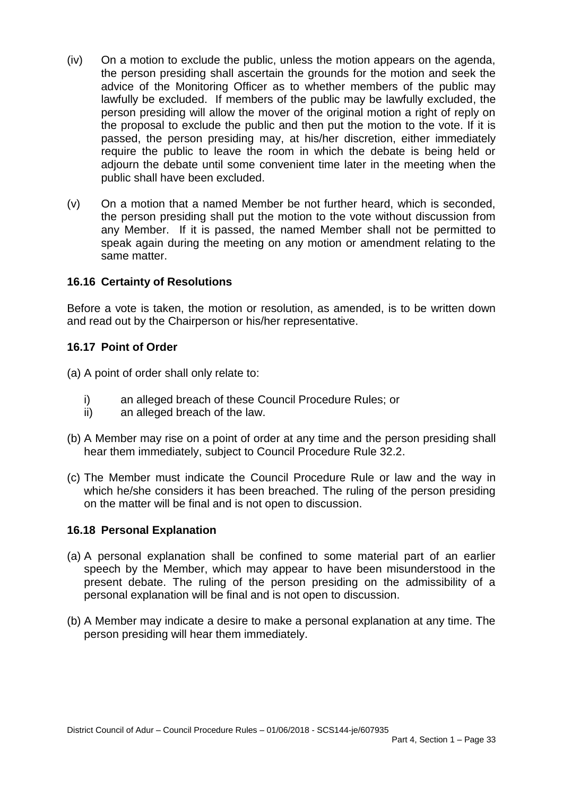- (iv) On a motion to exclude the public, unless the motion appears on the agenda, the person presiding shall ascertain the grounds for the motion and seek the advice of the Monitoring Officer as to whether members of the public may lawfully be excluded. If members of the public may be lawfully excluded, the person presiding will allow the mover of the original motion a right of reply on the proposal to exclude the public and then put the motion to the vote. If it is passed, the person presiding may, at his/her discretion, either immediately require the public to leave the room in which the debate is being held or adjourn the debate until some convenient time later in the meeting when the public shall have been excluded.
- (v) On a motion that a named Member be not further heard, which is seconded, the person presiding shall put the motion to the vote without discussion from any Member. If it is passed, the named Member shall not be permitted to speak again during the meeting on any motion or amendment relating to the same matter.

### **16.16 Certainty of Resolutions**

Before a vote is taken, the motion or resolution, as amended, is to be written down and read out by the Chairperson or his/her representative.

### **16.17 Point of Order**

(a) A point of order shall only relate to:

- i) an alleged breach of these Council Procedure Rules; or
- ii) an alleged breach of the law.
- (b) A Member may rise on a point of order at any time and the person presiding shall hear them immediately, subject to Council Procedure Rule 32.2.
- (c) The Member must indicate the Council Procedure Rule or law and the way in which he/she considers it has been breached. The ruling of the person presiding on the matter will be final and is not open to discussion.

### **16.18 Personal Explanation**

- (a) A personal explanation shall be confined to some material part of an earlier speech by the Member, which may appear to have been misunderstood in the present debate. The ruling of the person presiding on the admissibility of a personal explanation will be final and is not open to discussion.
- (b) A Member may indicate a desire to make a personal explanation at any time. The person presiding will hear them immediately.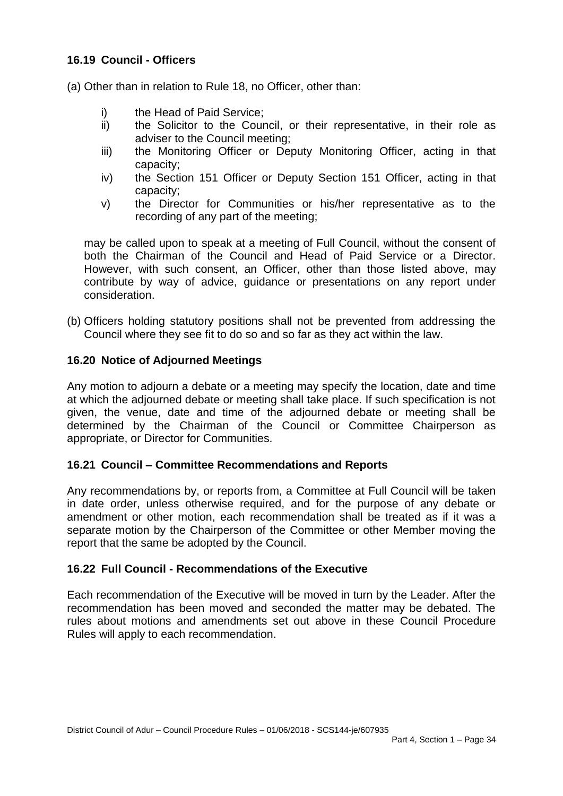## **16.19 Council - Officers**

(a) Other than in relation to Rule 18, no Officer, other than:

- i) the Head of Paid Service;
- ii) the Solicitor to the Council, or their representative, in their role as adviser to the Council meeting;
- iii) the Monitoring Officer or Deputy Monitoring Officer, acting in that capacity;
- iv) the Section 151 Officer or Deputy Section 151 Officer, acting in that capacity;
- v) the Director for Communities or his/her representative as to the recording of any part of the meeting;

may be called upon to speak at a meeting of Full Council, without the consent of both the Chairman of the Council and Head of Paid Service or a Director. However, with such consent, an Officer, other than those listed above, may contribute by way of advice, guidance or presentations on any report under consideration.

(b) Officers holding statutory positions shall not be prevented from addressing the Council where they see fit to do so and so far as they act within the law.

### **16.20 Notice of Adjourned Meetings**

Any motion to adjourn a debate or a meeting may specify the location, date and time at which the adjourned debate or meeting shall take place. If such specification is not given, the venue, date and time of the adjourned debate or meeting shall be determined by the Chairman of the Council or Committee Chairperson as appropriate, or Director for Communities.

#### **16.21 Council – Committee Recommendations and Reports**

Any recommendations by, or reports from, a Committee at Full Council will be taken in date order, unless otherwise required, and for the purpose of any debate or amendment or other motion, each recommendation shall be treated as if it was a separate motion by the Chairperson of the Committee or other Member moving the report that the same be adopted by the Council.

#### **16.22 Full Council - Recommendations of the Executive**

Each recommendation of the Executive will be moved in turn by the Leader. After the recommendation has been moved and seconded the matter may be debated. The rules about motions and amendments set out above in these Council Procedure Rules will apply to each recommendation.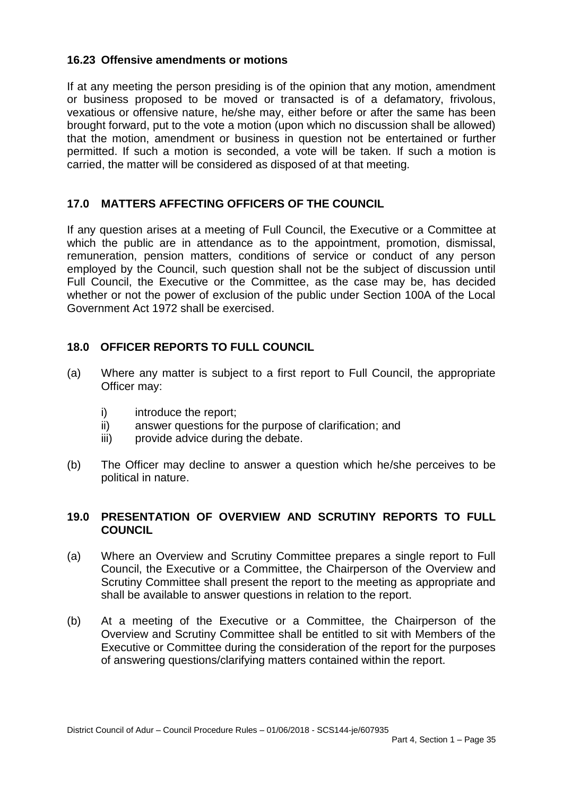## **16.23 Offensive amendments or motions**

If at any meeting the person presiding is of the opinion that any motion, amendment or business proposed to be moved or transacted is of a defamatory, frivolous, vexatious or offensive nature, he/she may, either before or after the same has been brought forward, put to the vote a motion (upon which no discussion shall be allowed) that the motion, amendment or business in question not be entertained or further permitted. If such a motion is seconded, a vote will be taken. If such a motion is carried, the matter will be considered as disposed of at that meeting.

# **17.0 MATTERS AFFECTING OFFICERS OF THE COUNCIL**

If any question arises at a meeting of Full Council, the Executive or a Committee at which the public are in attendance as to the appointment, promotion, dismissal, remuneration, pension matters, conditions of service or conduct of any person employed by the Council, such question shall not be the subject of discussion until Full Council, the Executive or the Committee, as the case may be, has decided whether or not the power of exclusion of the public under Section 100A of the Local Government Act 1972 shall be exercised.

## **18.0 OFFICER REPORTS TO FULL COUNCIL**

- (a) Where any matter is subject to a first report to Full Council, the appropriate Officer may:
	- i) introduce the report:
	- ii) answer questions for the purpose of clarification; and
	- iii) provide advice during the debate.
- (b) The Officer may decline to answer a question which he/she perceives to be political in nature.

### **19.0 PRESENTATION OF OVERVIEW AND SCRUTINY REPORTS TO FULL COUNCIL**

- (a) Where an Overview and Scrutiny Committee prepares a single report to Full Council, the Executive or a Committee, the Chairperson of the Overview and Scrutiny Committee shall present the report to the meeting as appropriate and shall be available to answer questions in relation to the report.
- (b) At a meeting of the Executive or a Committee, the Chairperson of the Overview and Scrutiny Committee shall be entitled to sit with Members of the Executive or Committee during the consideration of the report for the purposes of answering questions/clarifying matters contained within the report.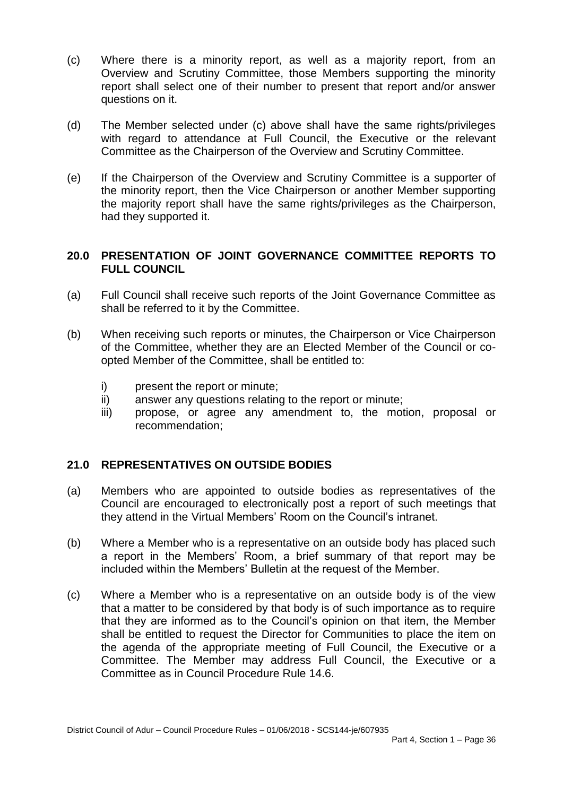- (c) Where there is a minority report, as well as a majority report, from an Overview and Scrutiny Committee, those Members supporting the minority report shall select one of their number to present that report and/or answer questions on it.
- (d) The Member selected under (c) above shall have the same rights/privileges with regard to attendance at Full Council, the Executive or the relevant Committee as the Chairperson of the Overview and Scrutiny Committee.
- (e) If the Chairperson of the Overview and Scrutiny Committee is a supporter of the minority report, then the Vice Chairperson or another Member supporting the majority report shall have the same rights/privileges as the Chairperson, had they supported it.

### **20.0 PRESENTATION OF JOINT GOVERNANCE COMMITTEE REPORTS TO FULL COUNCIL**

- (a) Full Council shall receive such reports of the Joint Governance Committee as shall be referred to it by the Committee.
- (b) When receiving such reports or minutes, the Chairperson or Vice Chairperson of the Committee, whether they are an Elected Member of the Council or coopted Member of the Committee, shall be entitled to:
	- i) present the report or minute;
	- ii) answer any questions relating to the report or minute;
	- iii) propose, or agree any amendment to, the motion, proposal or recommendation;

### **21.0 REPRESENTATIVES ON OUTSIDE BODIES**

- (a) Members who are appointed to outside bodies as representatives of the Council are encouraged to electronically post a report of such meetings that they attend in the Virtual Members' Room on the Council's intranet.
- (b) Where a Member who is a representative on an outside body has placed such a report in the Members' Room, a brief summary of that report may be included within the Members' Bulletin at the request of the Member.
- (c) Where a Member who is a representative on an outside body is of the view that a matter to be considered by that body is of such importance as to require that they are informed as to the Council's opinion on that item, the Member shall be entitled to request the Director for Communities to place the item on the agenda of the appropriate meeting of Full Council, the Executive or a Committee. The Member may address Full Council, the Executive or a Committee as in Council Procedure Rule 14.6.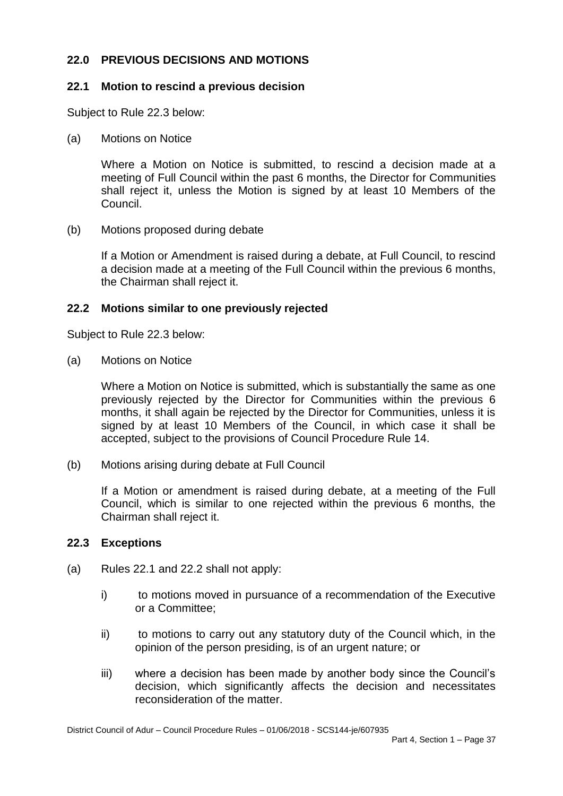# **22.0 PREVIOUS DECISIONS AND MOTIONS**

### **22.1 Motion to rescind a previous decision**

Subject to Rule 22.3 below:

(a) Motions on Notice

Where a Motion on Notice is submitted, to rescind a decision made at a meeting of Full Council within the past 6 months, the Director for Communities shall reject it, unless the Motion is signed by at least 10 Members of the Council.

(b) Motions proposed during debate

If a Motion or Amendment is raised during a debate, at Full Council, to rescind a decision made at a meeting of the Full Council within the previous 6 months, the Chairman shall reject it.

#### **22.2 Motions similar to one previously rejected**

Subject to Rule 22.3 below:

(a) Motions on Notice

Where a Motion on Notice is submitted, which is substantially the same as one previously rejected by the Director for Communities within the previous 6 months, it shall again be rejected by the Director for Communities, unless it is signed by at least 10 Members of the Council, in which case it shall be accepted, subject to the provisions of Council Procedure Rule 14.

(b) Motions arising during debate at Full Council

If a Motion or amendment is raised during debate, at a meeting of the Full Council, which is similar to one rejected within the previous 6 months, the Chairman shall reject it.

#### **22.3 Exceptions**

- (a) Rules 22.1 and 22.2 shall not apply:
	- i) to motions moved in pursuance of a recommendation of the Executive or a Committee;
	- ii) to motions to carry out any statutory duty of the Council which, in the opinion of the person presiding, is of an urgent nature; or
	- iii) where a decision has been made by another body since the Council's decision, which significantly affects the decision and necessitates reconsideration of the matter.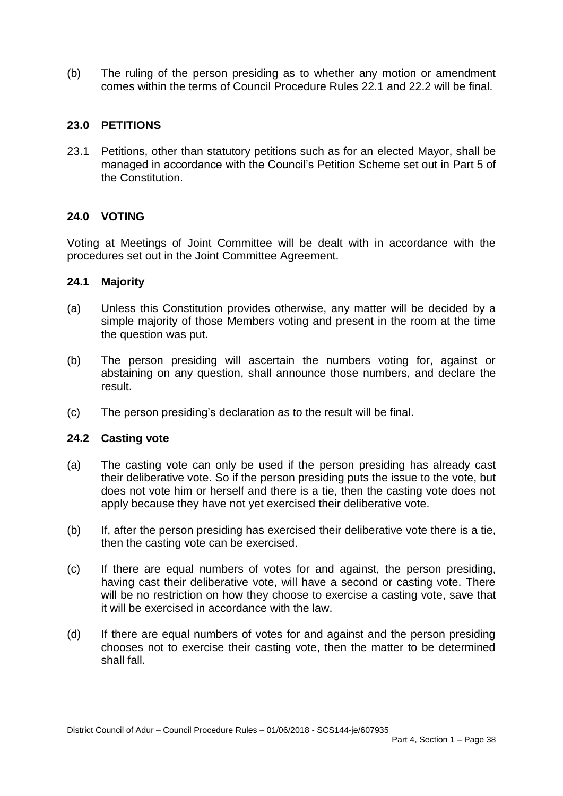(b) The ruling of the person presiding as to whether any motion or amendment comes within the terms of Council Procedure Rules 22.1 and 22.2 will be final.

### **23.0 PETITIONS**

23.1 Petitions, other than statutory petitions such as for an elected Mayor, shall be managed in accordance with the Council's Petition Scheme set out in Part 5 of the Constitution.

## **24.0 VOTING**

Voting at Meetings of Joint Committee will be dealt with in accordance with the procedures set out in the Joint Committee Agreement.

### **24.1 Majority**

- (a) Unless this Constitution provides otherwise, any matter will be decided by a simple majority of those Members voting and present in the room at the time the question was put.
- (b) The person presiding will ascertain the numbers voting for, against or abstaining on any question, shall announce those numbers, and declare the result.
- (c) The person presiding's declaration as to the result will be final.

### **24.2 Casting vote**

- (a) The casting vote can only be used if the person presiding has already cast their deliberative vote. So if the person presiding puts the issue to the vote, but does not vote him or herself and there is a tie, then the casting vote does not apply because they have not yet exercised their deliberative vote.
- (b) If, after the person presiding has exercised their deliberative vote there is a tie, then the casting vote can be exercised.
- (c) If there are equal numbers of votes for and against, the person presiding, having cast their deliberative vote, will have a second or casting vote. There will be no restriction on how they choose to exercise a casting vote, save that it will be exercised in accordance with the law.
- (d) If there are equal numbers of votes for and against and the person presiding chooses not to exercise their casting vote, then the matter to be determined shall fall.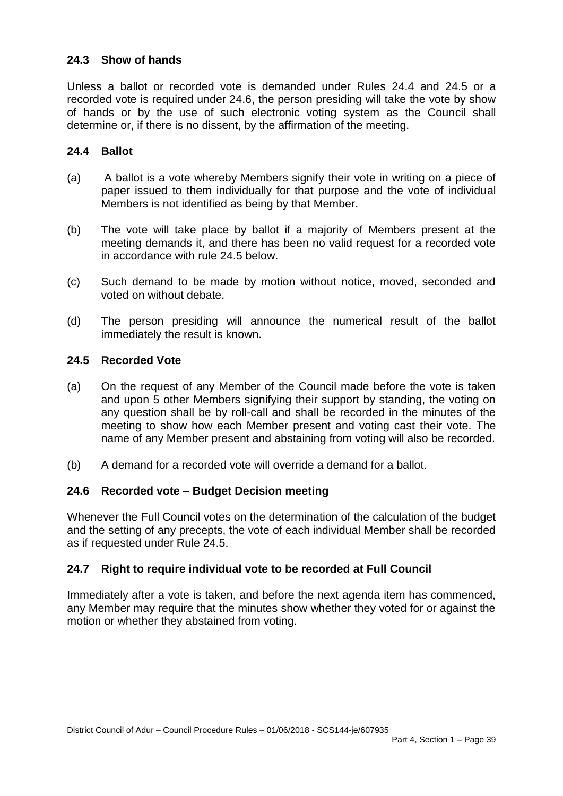## **24.3 Show of hands**

Unless a ballot or recorded vote is demanded under Rules 24.4 and 24.5 or a recorded vote is required under 24.6, the person presiding will take the vote by show of hands or by the use of such electronic voting system as the Council shall determine or, if there is no dissent, by the affirmation of the meeting.

### **24.4 Ballot**

- (a) A ballot is a vote whereby Members signify their vote in writing on a piece of paper issued to them individually for that purpose and the vote of individual Members is not identified as being by that Member.
- (b) The vote will take place by ballot if a majority of Members present at the meeting demands it, and there has been no valid request for a recorded vote in accordance with rule 24.5 below.
- (c) Such demand to be made by motion without notice, moved, seconded and voted on without debate.
- (d) The person presiding will announce the numerical result of the ballot immediately the result is known.

### **24.5 Recorded Vote**

- (a) On the request of any Member of the Council made before the vote is taken and upon 5 other Members signifying their support by standing, the voting on any question shall be by roll-call and shall be recorded in the minutes of the meeting to show how each Member present and voting cast their vote. The name of any Member present and abstaining from voting will also be recorded.
- (b) A demand for a recorded vote will override a demand for a ballot.

### **24.6 Recorded vote – Budget Decision meeting**

Whenever the Full Council votes on the determination of the calculation of the budget and the setting of any precepts, the vote of each individual Member shall be recorded as if requested under Rule 24.5.

### **24.7 Right to require individual vote to be recorded at Full Council**

Immediately after a vote is taken, and before the next agenda item has commenced, any Member may require that the minutes show whether they voted for or against the motion or whether they abstained from voting.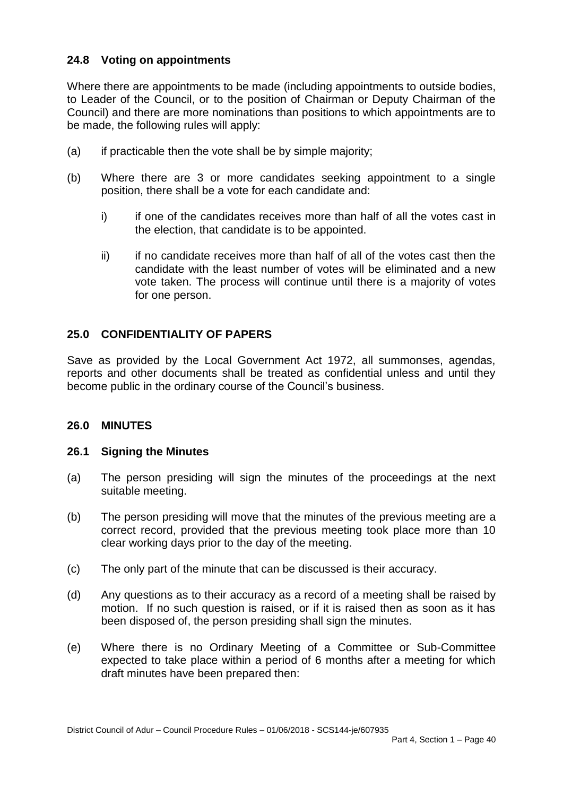# **24.8 Voting on appointments**

Where there are appointments to be made (including appointments to outside bodies, to Leader of the Council, or to the position of Chairman or Deputy Chairman of the Council) and there are more nominations than positions to which appointments are to be made, the following rules will apply:

- (a) if practicable then the vote shall be by simple majority;
- (b) Where there are 3 or more candidates seeking appointment to a single position, there shall be a vote for each candidate and:
	- i) if one of the candidates receives more than half of all the votes cast in the election, that candidate is to be appointed.
	- ii) if no candidate receives more than half of all of the votes cast then the candidate with the least number of votes will be eliminated and a new vote taken. The process will continue until there is a majority of votes for one person.

### **25.0 CONFIDENTIALITY OF PAPERS**

Save as provided by the Local Government Act 1972, all summonses, agendas, reports and other documents shall be treated as confidential unless and until they become public in the ordinary course of the Council's business.

#### **26.0 MINUTES**

#### **26.1 Signing the Minutes**

- (a) The person presiding will sign the minutes of the proceedings at the next suitable meeting.
- (b) The person presiding will move that the minutes of the previous meeting are a correct record, provided that the previous meeting took place more than 10 clear working days prior to the day of the meeting.
- (c) The only part of the minute that can be discussed is their accuracy.
- (d) Any questions as to their accuracy as a record of a meeting shall be raised by motion. If no such question is raised, or if it is raised then as soon as it has been disposed of, the person presiding shall sign the minutes.
- (e) Where there is no Ordinary Meeting of a Committee or Sub-Committee expected to take place within a period of 6 months after a meeting for which draft minutes have been prepared then: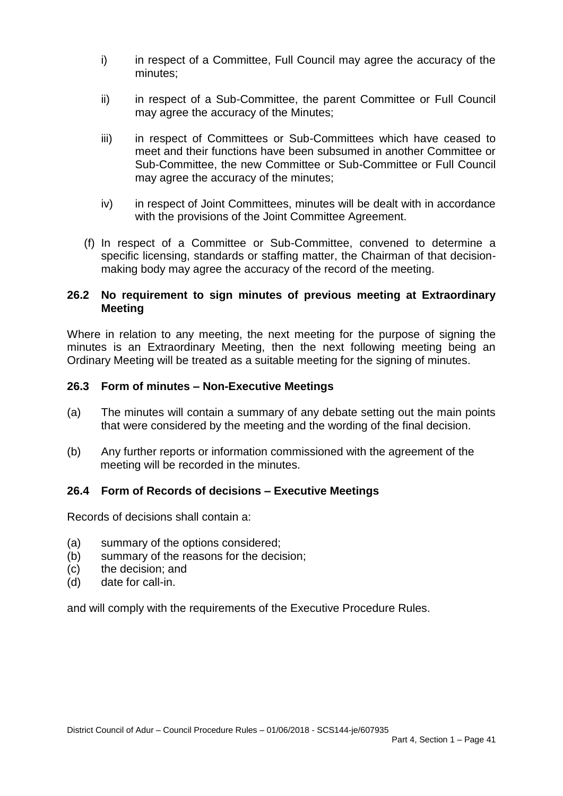- i) in respect of a Committee, Full Council may agree the accuracy of the minutes;
- ii) in respect of a Sub-Committee, the parent Committee or Full Council may agree the accuracy of the Minutes;
- iii) in respect of Committees or Sub-Committees which have ceased to meet and their functions have been subsumed in another Committee or Sub-Committee, the new Committee or Sub-Committee or Full Council may agree the accuracy of the minutes;
- iv) in respect of Joint Committees, minutes will be dealt with in accordance with the provisions of the Joint Committee Agreement.
- (f) In respect of a Committee or Sub-Committee, convened to determine a specific licensing, standards or staffing matter, the Chairman of that decisionmaking body may agree the accuracy of the record of the meeting.

#### **26.2 No requirement to sign minutes of previous meeting at Extraordinary Meeting**

Where in relation to any meeting, the next meeting for the purpose of signing the minutes is an Extraordinary Meeting, then the next following meeting being an Ordinary Meeting will be treated as a suitable meeting for the signing of minutes.

#### **26.3 Form of minutes – Non-Executive Meetings**

- (a) The minutes will contain a summary of any debate setting out the main points that were considered by the meeting and the wording of the final decision.
- (b) Any further reports or information commissioned with the agreement of the meeting will be recorded in the minutes.

#### **26.4 Form of Records of decisions – Executive Meetings**

Records of decisions shall contain a:

- (a) summary of the options considered;
- (b) summary of the reasons for the decision;
- (c) the decision; and
- (d) date for call-in.

and will comply with the requirements of the Executive Procedure Rules.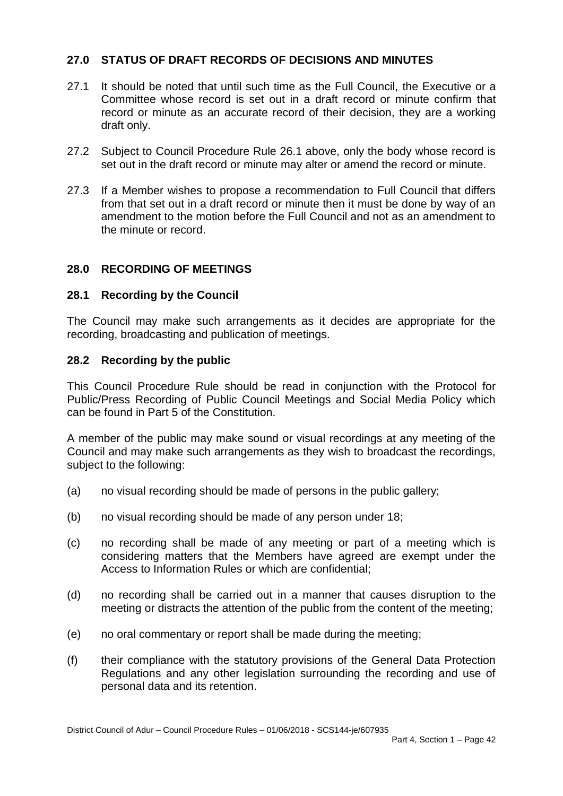# **27.0 STATUS OF DRAFT RECORDS OF DECISIONS AND MINUTES**

- 27.1 It should be noted that until such time as the Full Council, the Executive or a Committee whose record is set out in a draft record or minute confirm that record or minute as an accurate record of their decision, they are a working draft only.
- 27.2 Subject to Council Procedure Rule 26.1 above, only the body whose record is set out in the draft record or minute may alter or amend the record or minute.
- 27.3 If a Member wishes to propose a recommendation to Full Council that differs from that set out in a draft record or minute then it must be done by way of an amendment to the motion before the Full Council and not as an amendment to the minute or record.

### **28.0 RECORDING OF MEETINGS**

#### **28.1 Recording by the Council**

The Council may make such arrangements as it decides are appropriate for the recording, broadcasting and publication of meetings.

#### **28.2 Recording by the public**

This Council Procedure Rule should be read in conjunction with the Protocol for Public/Press Recording of Public Council Meetings and Social Media Policy which can be found in Part 5 of the Constitution.

A member of the public may make sound or visual recordings at any meeting of the Council and may make such arrangements as they wish to broadcast the recordings, subject to the following:

- (a) no visual recording should be made of persons in the public gallery;
- (b) no visual recording should be made of any person under 18;
- (c) no recording shall be made of any meeting or part of a meeting which is considering matters that the Members have agreed are exempt under the Access to Information Rules or which are confidential;
- (d) no recording shall be carried out in a manner that causes disruption to the meeting or distracts the attention of the public from the content of the meeting;
- (e) no oral commentary or report shall be made during the meeting;
- (f) their compliance with the statutory provisions of the General Data Protection Regulations and any other legislation surrounding the recording and use of personal data and its retention.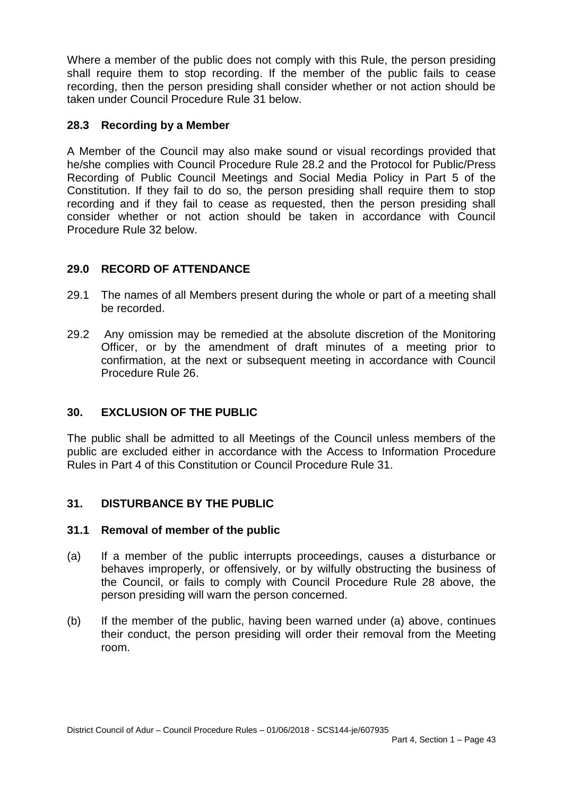Where a member of the public does not comply with this Rule, the person presiding shall require them to stop recording. If the member of the public fails to cease recording, then the person presiding shall consider whether or not action should be taken under Council Procedure Rule 31 below.

## **28.3 Recording by a Member**

A Member of the Council may also make sound or visual recordings provided that he/she complies with Council Procedure Rule 28.2 and the Protocol for Public/Press Recording of Public Council Meetings and Social Media Policy in Part 5 of the Constitution. If they fail to do so, the person presiding shall require them to stop recording and if they fail to cease as requested, then the person presiding shall consider whether or not action should be taken in accordance with Council Procedure Rule 32 below.

# **29.0 RECORD OF ATTENDANCE**

- 29.1 The names of all Members present during the whole or part of a meeting shall be recorded.
- 29.2 Any omission may be remedied at the absolute discretion of the Monitoring Officer, or by the amendment of draft minutes of a meeting prior to confirmation, at the next or subsequent meeting in accordance with Council Procedure Rule 26.

# **30. EXCLUSION OF THE PUBLIC**

The public shall be admitted to all Meetings of the Council unless members of the public are excluded either in accordance with the Access to Information Procedure Rules in Part 4 of this Constitution or Council Procedure Rule 31.

# **31. DISTURBANCE BY THE PUBLIC**

### **31.1 Removal of member of the public**

- (a) If a member of the public interrupts proceedings, causes a disturbance or behaves improperly, or offensively, or by wilfully obstructing the business of the Council, or fails to comply with Council Procedure Rule 28 above, the person presiding will warn the person concerned.
- (b) If the member of the public, having been warned under (a) above, continues their conduct, the person presiding will order their removal from the Meeting room.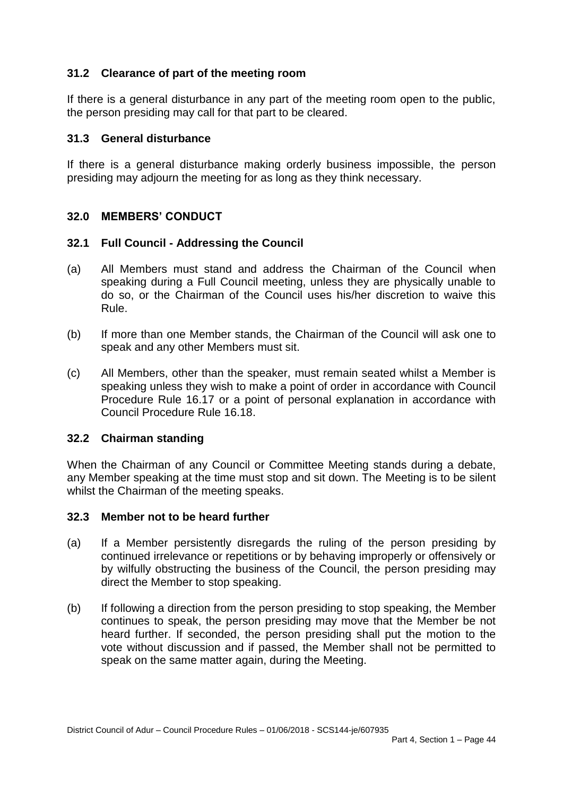# **31.2 Clearance of part of the meeting room**

If there is a general disturbance in any part of the meeting room open to the public, the person presiding may call for that part to be cleared.

#### **31.3 General disturbance**

If there is a general disturbance making orderly business impossible, the person presiding may adjourn the meeting for as long as they think necessary.

### **32.0 MEMBERS' CONDUCT**

#### **32.1 Full Council - Addressing the Council**

- (a) All Members must stand and address the Chairman of the Council when speaking during a Full Council meeting, unless they are physically unable to do so, or the Chairman of the Council uses his/her discretion to waive this Rule.
- (b) If more than one Member stands, the Chairman of the Council will ask one to speak and any other Members must sit.
- (c) All Members, other than the speaker, must remain seated whilst a Member is speaking unless they wish to make a point of order in accordance with Council Procedure Rule 16.17 or a point of personal explanation in accordance with Council Procedure Rule 16.18.

#### **32.2 Chairman standing**

When the Chairman of any Council or Committee Meeting stands during a debate, any Member speaking at the time must stop and sit down. The Meeting is to be silent whilst the Chairman of the meeting speaks.

#### **32.3 Member not to be heard further**

- (a) If a Member persistently disregards the ruling of the person presiding by continued irrelevance or repetitions or by behaving improperly or offensively or by wilfully obstructing the business of the Council, the person presiding may direct the Member to stop speaking.
- (b) If following a direction from the person presiding to stop speaking, the Member continues to speak, the person presiding may move that the Member be not heard further. If seconded, the person presiding shall put the motion to the vote without discussion and if passed, the Member shall not be permitted to speak on the same matter again, during the Meeting.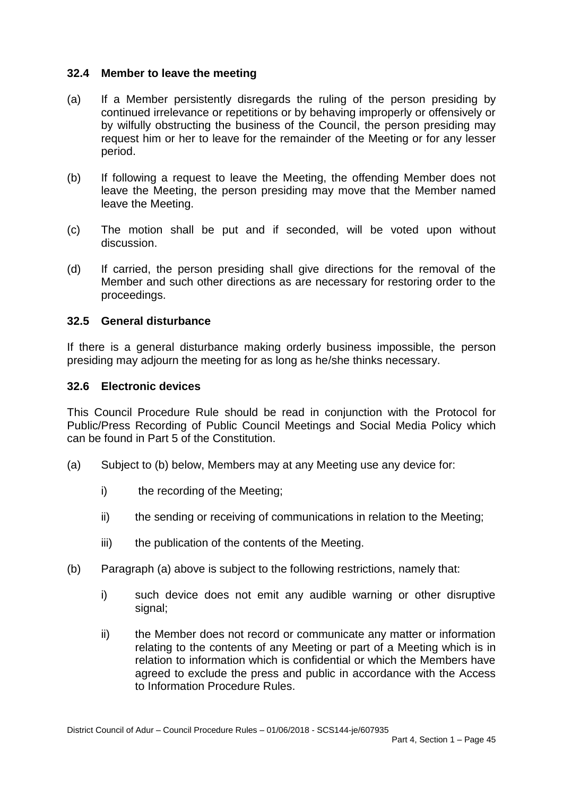### **32.4 Member to leave the meeting**

- (a) If a Member persistently disregards the ruling of the person presiding by continued irrelevance or repetitions or by behaving improperly or offensively or by wilfully obstructing the business of the Council, the person presiding may request him or her to leave for the remainder of the Meeting or for any lesser period.
- (b) If following a request to leave the Meeting, the offending Member does not leave the Meeting, the person presiding may move that the Member named leave the Meeting.
- (c) The motion shall be put and if seconded, will be voted upon without discussion.
- (d) If carried, the person presiding shall give directions for the removal of the Member and such other directions as are necessary for restoring order to the proceedings.

#### **32.5 General disturbance**

If there is a general disturbance making orderly business impossible, the person presiding may adjourn the meeting for as long as he/she thinks necessary.

#### **32.6 Electronic devices**

This Council Procedure Rule should be read in conjunction with the Protocol for Public/Press Recording of Public Council Meetings and Social Media Policy which can be found in Part 5 of the Constitution.

- (a) Subject to (b) below, Members may at any Meeting use any device for:
	- i) the recording of the Meeting;
	- ii) the sending or receiving of communications in relation to the Meeting;
	- iii) the publication of the contents of the Meeting.
- (b) Paragraph (a) above is subject to the following restrictions, namely that:
	- i) such device does not emit any audible warning or other disruptive signal;
	- ii) the Member does not record or communicate any matter or information relating to the contents of any Meeting or part of a Meeting which is in relation to information which is confidential or which the Members have agreed to exclude the press and public in accordance with the Access to Information Procedure Rules.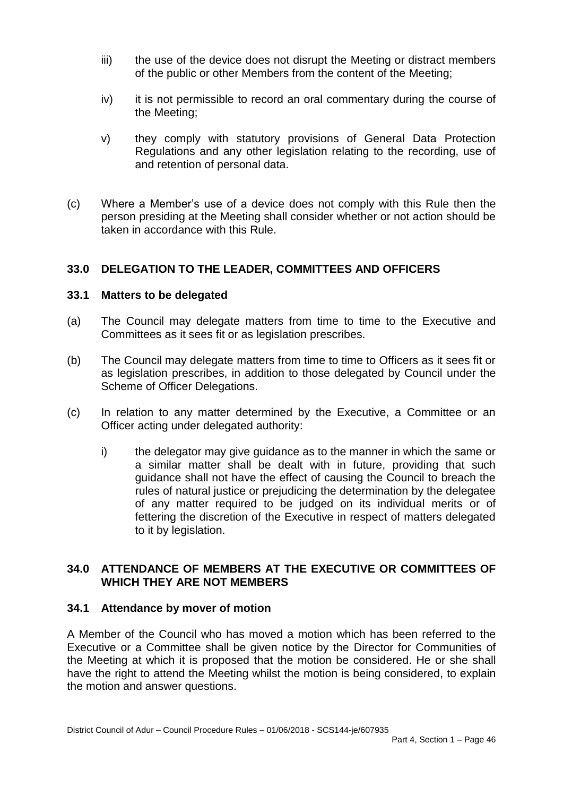- iii) the use of the device does not disrupt the Meeting or distract members of the public or other Members from the content of the Meeting;
- iv) it is not permissible to record an oral commentary during the course of the Meeting;
- v) they comply with statutory provisions of General Data Protection Regulations and any other legislation relating to the recording, use of and retention of personal data.
- (c) Where a Member's use of a device does not comply with this Rule then the person presiding at the Meeting shall consider whether or not action should be taken in accordance with this Rule.

## **33.0 DELEGATION TO THE LEADER, COMMITTEES AND OFFICERS**

#### **33.1 Matters to be delegated**

- (a) The Council may delegate matters from time to time to the Executive and Committees as it sees fit or as legislation prescribes.
- (b) The Council may delegate matters from time to time to Officers as it sees fit or as legislation prescribes, in addition to those delegated by Council under the Scheme of Officer Delegations.
- (c) In relation to any matter determined by the Executive, a Committee or an Officer acting under delegated authority:
	- i) the delegator may give guidance as to the manner in which the same or a similar matter shall be dealt with in future, providing that such guidance shall not have the effect of causing the Council to breach the rules of natural justice or prejudicing the determination by the delegatee of any matter required to be judged on its individual merits or of fettering the discretion of the Executive in respect of matters delegated to it by legislation.

## **34.0 ATTENDANCE OF MEMBERS AT THE EXECUTIVE OR COMMITTEES OF WHICH THEY ARE NOT MEMBERS**

### **34.1 Attendance by mover of motion**

A Member of the Council who has moved a motion which has been referred to the Executive or a Committee shall be given notice by the Director for Communities of the Meeting at which it is proposed that the motion be considered. He or she shall have the right to attend the Meeting whilst the motion is being considered, to explain the motion and answer questions.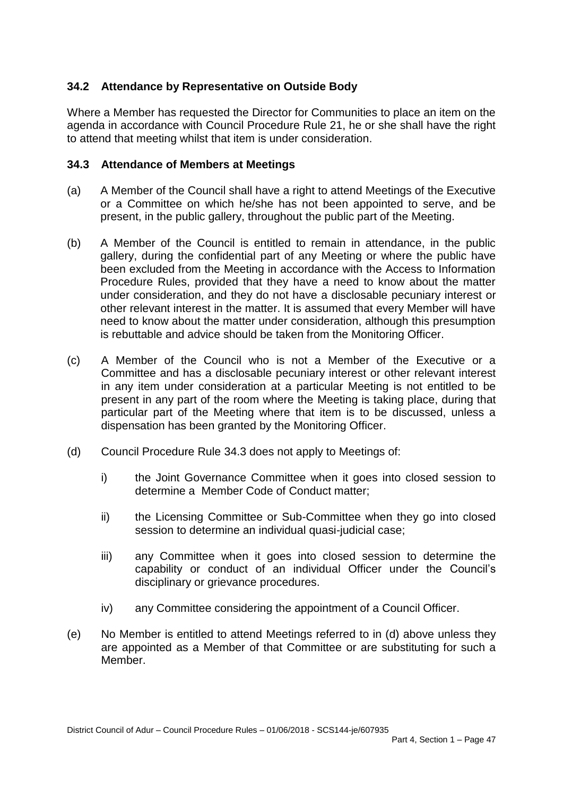# **34.2 Attendance by Representative on Outside Body**

Where a Member has requested the Director for Communities to place an item on the agenda in accordance with Council Procedure Rule 21, he or she shall have the right to attend that meeting whilst that item is under consideration.

### **34.3 Attendance of Members at Meetings**

- (a) A Member of the Council shall have a right to attend Meetings of the Executive or a Committee on which he/she has not been appointed to serve, and be present, in the public gallery, throughout the public part of the Meeting.
- (b) A Member of the Council is entitled to remain in attendance, in the public gallery, during the confidential part of any Meeting or where the public have been excluded from the Meeting in accordance with the Access to Information Procedure Rules, provided that they have a need to know about the matter under consideration, and they do not have a disclosable pecuniary interest or other relevant interest in the matter. It is assumed that every Member will have need to know about the matter under consideration, although this presumption is rebuttable and advice should be taken from the Monitoring Officer.
- (c) A Member of the Council who is not a Member of the Executive or a Committee and has a disclosable pecuniary interest or other relevant interest in any item under consideration at a particular Meeting is not entitled to be present in any part of the room where the Meeting is taking place, during that particular part of the Meeting where that item is to be discussed, unless a dispensation has been granted by the Monitoring Officer.
- (d) Council Procedure Rule 34.3 does not apply to Meetings of:
	- i) the Joint Governance Committee when it goes into closed session to determine a Member Code of Conduct matter;
	- ii) the Licensing Committee or Sub-Committee when they go into closed session to determine an individual quasi-judicial case;
	- iii) any Committee when it goes into closed session to determine the capability or conduct of an individual Officer under the Council's disciplinary or grievance procedures.
	- iv) any Committee considering the appointment of a Council Officer.
- (e) No Member is entitled to attend Meetings referred to in (d) above unless they are appointed as a Member of that Committee or are substituting for such a Member.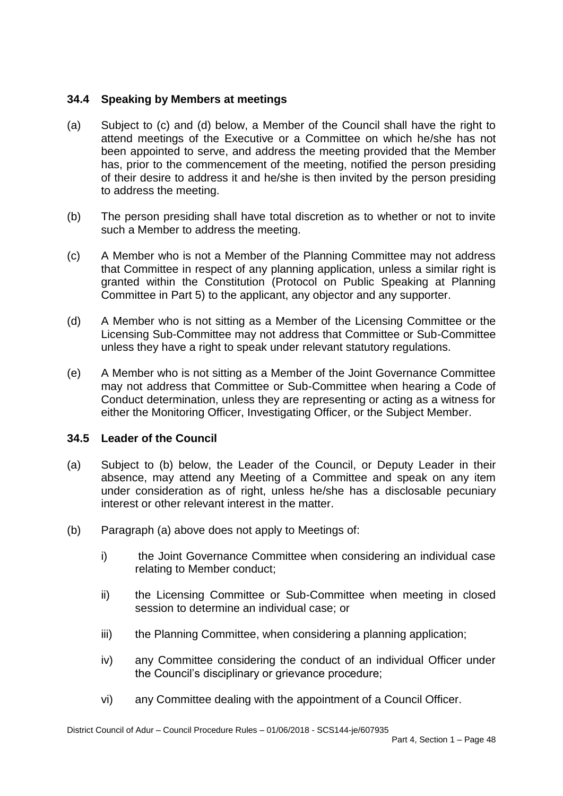### **34.4 Speaking by Members at meetings**

- (a) Subject to (c) and (d) below, a Member of the Council shall have the right to attend meetings of the Executive or a Committee on which he/she has not been appointed to serve, and address the meeting provided that the Member has, prior to the commencement of the meeting, notified the person presiding of their desire to address it and he/she is then invited by the person presiding to address the meeting.
- (b) The person presiding shall have total discretion as to whether or not to invite such a Member to address the meeting.
- (c) A Member who is not a Member of the Planning Committee may not address that Committee in respect of any planning application, unless a similar right is granted within the Constitution (Protocol on Public Speaking at Planning Committee in Part 5) to the applicant, any objector and any supporter.
- (d) A Member who is not sitting as a Member of the Licensing Committee or the Licensing Sub-Committee may not address that Committee or Sub-Committee unless they have a right to speak under relevant statutory regulations.
- (e) A Member who is not sitting as a Member of the Joint Governance Committee may not address that Committee or Sub-Committee when hearing a Code of Conduct determination, unless they are representing or acting as a witness for either the Monitoring Officer, Investigating Officer, or the Subject Member.

# **34.5 Leader of the Council**

- (a) Subject to (b) below, the Leader of the Council, or Deputy Leader in their absence, may attend any Meeting of a Committee and speak on any item under consideration as of right, unless he/she has a disclosable pecuniary interest or other relevant interest in the matter.
- (b) Paragraph (a) above does not apply to Meetings of:
	- i) the Joint Governance Committee when considering an individual case relating to Member conduct;
	- ii) the Licensing Committee or Sub-Committee when meeting in closed session to determine an individual case; or
	- iii) the Planning Committee, when considering a planning application;
	- iv) any Committee considering the conduct of an individual Officer under the Council's disciplinary or grievance procedure;
	- vi) any Committee dealing with the appointment of a Council Officer.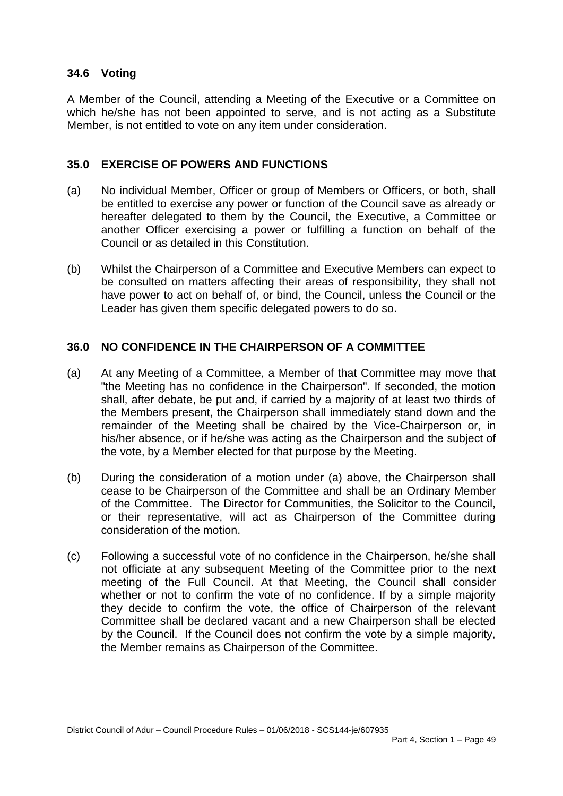## **34.6 Voting**

A Member of the Council, attending a Meeting of the Executive or a Committee on which he/she has not been appointed to serve, and is not acting as a Substitute Member, is not entitled to vote on any item under consideration.

### **35.0 EXERCISE OF POWERS AND FUNCTIONS**

- (a) No individual Member, Officer or group of Members or Officers, or both, shall be entitled to exercise any power or function of the Council save as already or hereafter delegated to them by the Council, the Executive, a Committee or another Officer exercising a power or fulfilling a function on behalf of the Council or as detailed in this Constitution.
- (b) Whilst the Chairperson of a Committee and Executive Members can expect to be consulted on matters affecting their areas of responsibility, they shall not have power to act on behalf of, or bind, the Council, unless the Council or the Leader has given them specific delegated powers to do so.

### **36.0 NO CONFIDENCE IN THE CHAIRPERSON OF A COMMITTEE**

- (a) At any Meeting of a Committee, a Member of that Committee may move that "the Meeting has no confidence in the Chairperson". If seconded, the motion shall, after debate, be put and, if carried by a majority of at least two thirds of the Members present, the Chairperson shall immediately stand down and the remainder of the Meeting shall be chaired by the Vice-Chairperson or, in his/her absence, or if he/she was acting as the Chairperson and the subject of the vote, by a Member elected for that purpose by the Meeting.
- (b) During the consideration of a motion under (a) above, the Chairperson shall cease to be Chairperson of the Committee and shall be an Ordinary Member of the Committee. The Director for Communities, the Solicitor to the Council, or their representative, will act as Chairperson of the Committee during consideration of the motion.
- (c) Following a successful vote of no confidence in the Chairperson, he/she shall not officiate at any subsequent Meeting of the Committee prior to the next meeting of the Full Council. At that Meeting, the Council shall consider whether or not to confirm the vote of no confidence. If by a simple majority they decide to confirm the vote, the office of Chairperson of the relevant Committee shall be declared vacant and a new Chairperson shall be elected by the Council. If the Council does not confirm the vote by a simple majority, the Member remains as Chairperson of the Committee.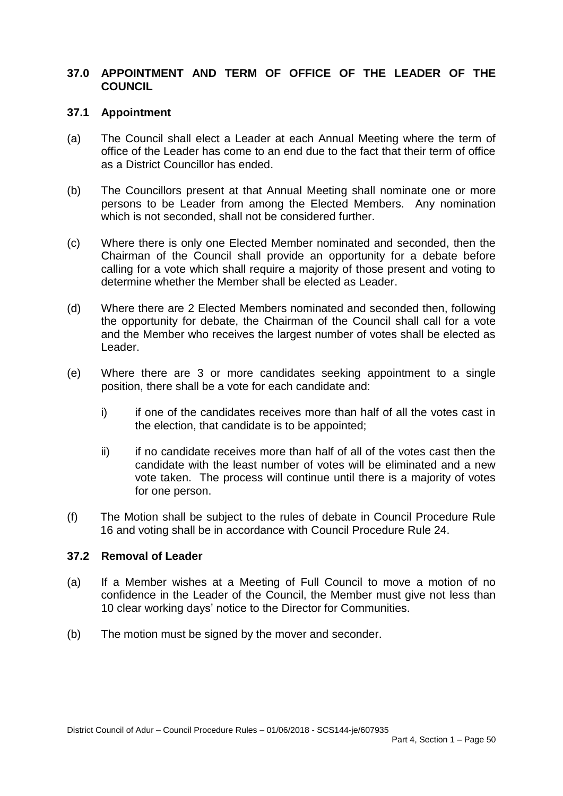### **37.0 APPOINTMENT AND TERM OF OFFICE OF THE LEADER OF THE COUNCIL**

#### **37.1 Appointment**

- (a) The Council shall elect a Leader at each Annual Meeting where the term of office of the Leader has come to an end due to the fact that their term of office as a District Councillor has ended.
- (b) The Councillors present at that Annual Meeting shall nominate one or more persons to be Leader from among the Elected Members. Any nomination which is not seconded, shall not be considered further.
- (c) Where there is only one Elected Member nominated and seconded, then the Chairman of the Council shall provide an opportunity for a debate before calling for a vote which shall require a majority of those present and voting to determine whether the Member shall be elected as Leader.
- (d) Where there are 2 Elected Members nominated and seconded then, following the opportunity for debate, the Chairman of the Council shall call for a vote and the Member who receives the largest number of votes shall be elected as Leader.
- (e) Where there are 3 or more candidates seeking appointment to a single position, there shall be a vote for each candidate and:
	- i) if one of the candidates receives more than half of all the votes cast in the election, that candidate is to be appointed;
	- ii) if no candidate receives more than half of all of the votes cast then the candidate with the least number of votes will be eliminated and a new vote taken. The process will continue until there is a majority of votes for one person.
- (f) The Motion shall be subject to the rules of debate in Council Procedure Rule 16 and voting shall be in accordance with Council Procedure Rule 24.

#### **37.2 Removal of Leader**

- (a) If a Member wishes at a Meeting of Full Council to move a motion of no confidence in the Leader of the Council, the Member must give not less than 10 clear working days' notice to the Director for Communities.
- (b) The motion must be signed by the mover and seconder.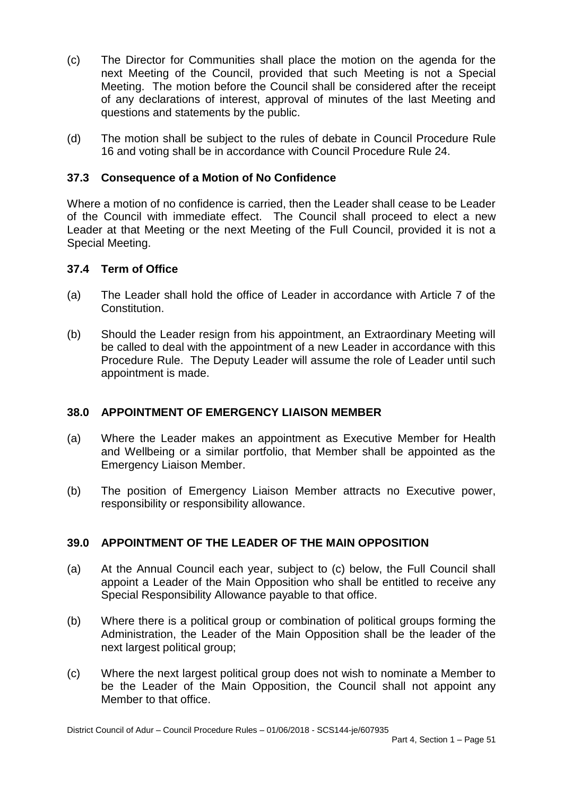- (c) The Director for Communities shall place the motion on the agenda for the next Meeting of the Council, provided that such Meeting is not a Special Meeting. The motion before the Council shall be considered after the receipt of any declarations of interest, approval of minutes of the last Meeting and questions and statements by the public.
- (d) The motion shall be subject to the rules of debate in Council Procedure Rule 16 and voting shall be in accordance with Council Procedure Rule 24.

## **37.3 Consequence of a Motion of No Confidence**

Where a motion of no confidence is carried, then the Leader shall cease to be Leader of the Council with immediate effect. The Council shall proceed to elect a new Leader at that Meeting or the next Meeting of the Full Council, provided it is not a Special Meeting.

### **37.4 Term of Office**

- (a) The Leader shall hold the office of Leader in accordance with Article 7 of the Constitution.
- (b) Should the Leader resign from his appointment, an Extraordinary Meeting will be called to deal with the appointment of a new Leader in accordance with this Procedure Rule. The Deputy Leader will assume the role of Leader until such appointment is made.

### **38.0 APPOINTMENT OF EMERGENCY LIAISON MEMBER**

- (a) Where the Leader makes an appointment as Executive Member for Health and Wellbeing or a similar portfolio, that Member shall be appointed as the Emergency Liaison Member.
- (b) The position of Emergency Liaison Member attracts no Executive power, responsibility or responsibility allowance.

# **39.0 APPOINTMENT OF THE LEADER OF THE MAIN OPPOSITION**

- (a) At the Annual Council each year, subject to (c) below, the Full Council shall appoint a Leader of the Main Opposition who shall be entitled to receive any Special Responsibility Allowance payable to that office.
- (b) Where there is a political group or combination of political groups forming the Administration, the Leader of the Main Opposition shall be the leader of the next largest political group;
- (c) Where the next largest political group does not wish to nominate a Member to be the Leader of the Main Opposition, the Council shall not appoint any Member to that office.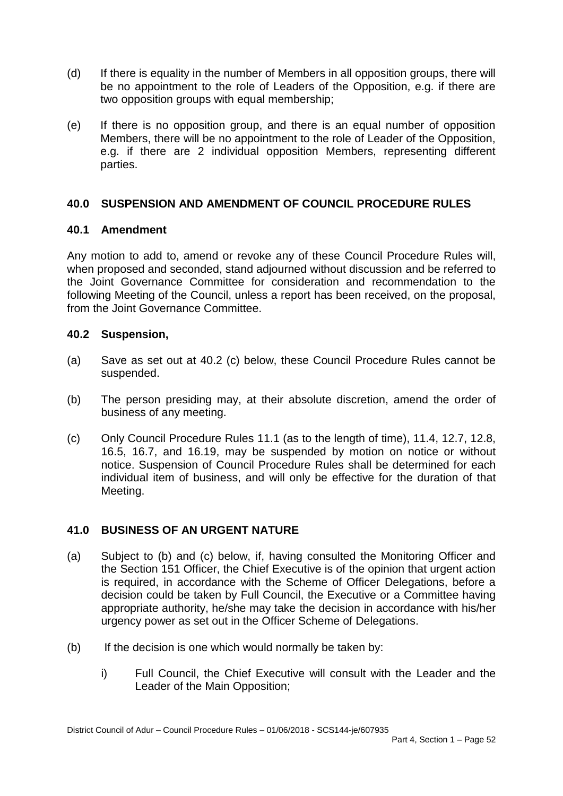- (d) If there is equality in the number of Members in all opposition groups, there will be no appointment to the role of Leaders of the Opposition, e.g. if there are two opposition groups with equal membership;
- (e) If there is no opposition group, and there is an equal number of opposition Members, there will be no appointment to the role of Leader of the Opposition, e.g. if there are 2 individual opposition Members, representing different parties.

## **40.0 SUSPENSION AND AMENDMENT OF COUNCIL PROCEDURE RULES**

### **40.1 Amendment**

Any motion to add to, amend or revoke any of these Council Procedure Rules will, when proposed and seconded, stand adjourned without discussion and be referred to the Joint Governance Committee for consideration and recommendation to the following Meeting of the Council, unless a report has been received, on the proposal, from the Joint Governance Committee.

## **40.2 Suspension,**

- (a) Save as set out at 40.2 (c) below, these Council Procedure Rules cannot be suspended.
- (b) The person presiding may, at their absolute discretion, amend the order of business of any meeting.
- (c) Only Council Procedure Rules 11.1 (as to the length of time), 11.4, 12.7, 12.8, 16.5, 16.7, and 16.19, may be suspended by motion on notice or without notice. Suspension of Council Procedure Rules shall be determined for each individual item of business, and will only be effective for the duration of that Meeting.

# **41.0 BUSINESS OF AN URGENT NATURE**

- (a) Subject to (b) and (c) below, if, having consulted the Monitoring Officer and the Section 151 Officer, the Chief Executive is of the opinion that urgent action is required, in accordance with the Scheme of Officer Delegations, before a decision could be taken by Full Council, the Executive or a Committee having appropriate authority, he/she may take the decision in accordance with his/her urgency power as set out in the Officer Scheme of Delegations.
- (b) If the decision is one which would normally be taken by:
	- i) Full Council, the Chief Executive will consult with the Leader and the Leader of the Main Opposition;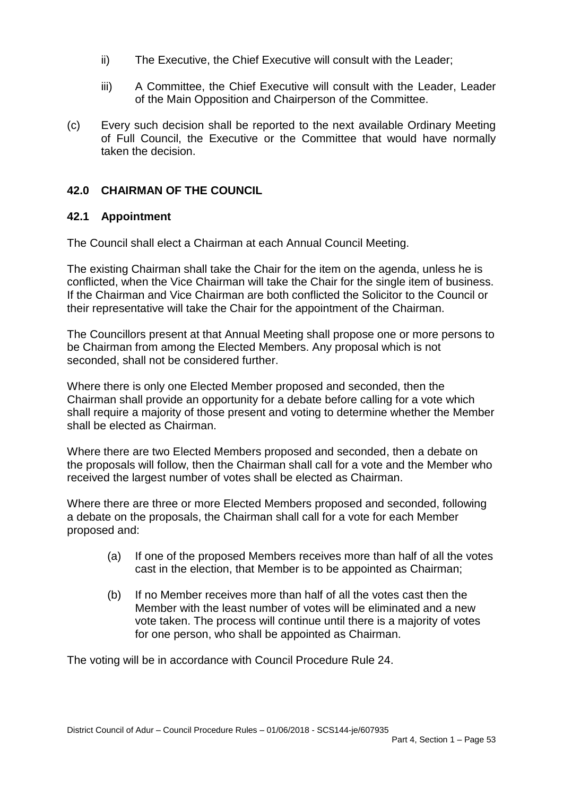- ii) The Executive, the Chief Executive will consult with the Leader;
- iii) A Committee, the Chief Executive will consult with the Leader, Leader of the Main Opposition and Chairperson of the Committee.
- (c) Every such decision shall be reported to the next available Ordinary Meeting of Full Council, the Executive or the Committee that would have normally taken the decision.

# **42.0 CHAIRMAN OF THE COUNCIL**

### **42.1 Appointment**

The Council shall elect a Chairman at each Annual Council Meeting.

The existing Chairman shall take the Chair for the item on the agenda, unless he is conflicted, when the Vice Chairman will take the Chair for the single item of business. If the Chairman and Vice Chairman are both conflicted the Solicitor to the Council or their representative will take the Chair for the appointment of the Chairman.

The Councillors present at that Annual Meeting shall propose one or more persons to be Chairman from among the Elected Members. Any proposal which is not seconded, shall not be considered further.

Where there is only one Elected Member proposed and seconded, then the Chairman shall provide an opportunity for a debate before calling for a vote which shall require a majority of those present and voting to determine whether the Member shall be elected as Chairman.

Where there are two Elected Members proposed and seconded, then a debate on the proposals will follow, then the Chairman shall call for a vote and the Member who received the largest number of votes shall be elected as Chairman.

Where there are three or more Elected Members proposed and seconded, following a debate on the proposals, the Chairman shall call for a vote for each Member proposed and:

- (a) If one of the proposed Members receives more than half of all the votes cast in the election, that Member is to be appointed as Chairman;
- (b) If no Member receives more than half of all the votes cast then the Member with the least number of votes will be eliminated and a new vote taken. The process will continue until there is a majority of votes for one person, who shall be appointed as Chairman.

The voting will be in accordance with Council Procedure Rule 24.